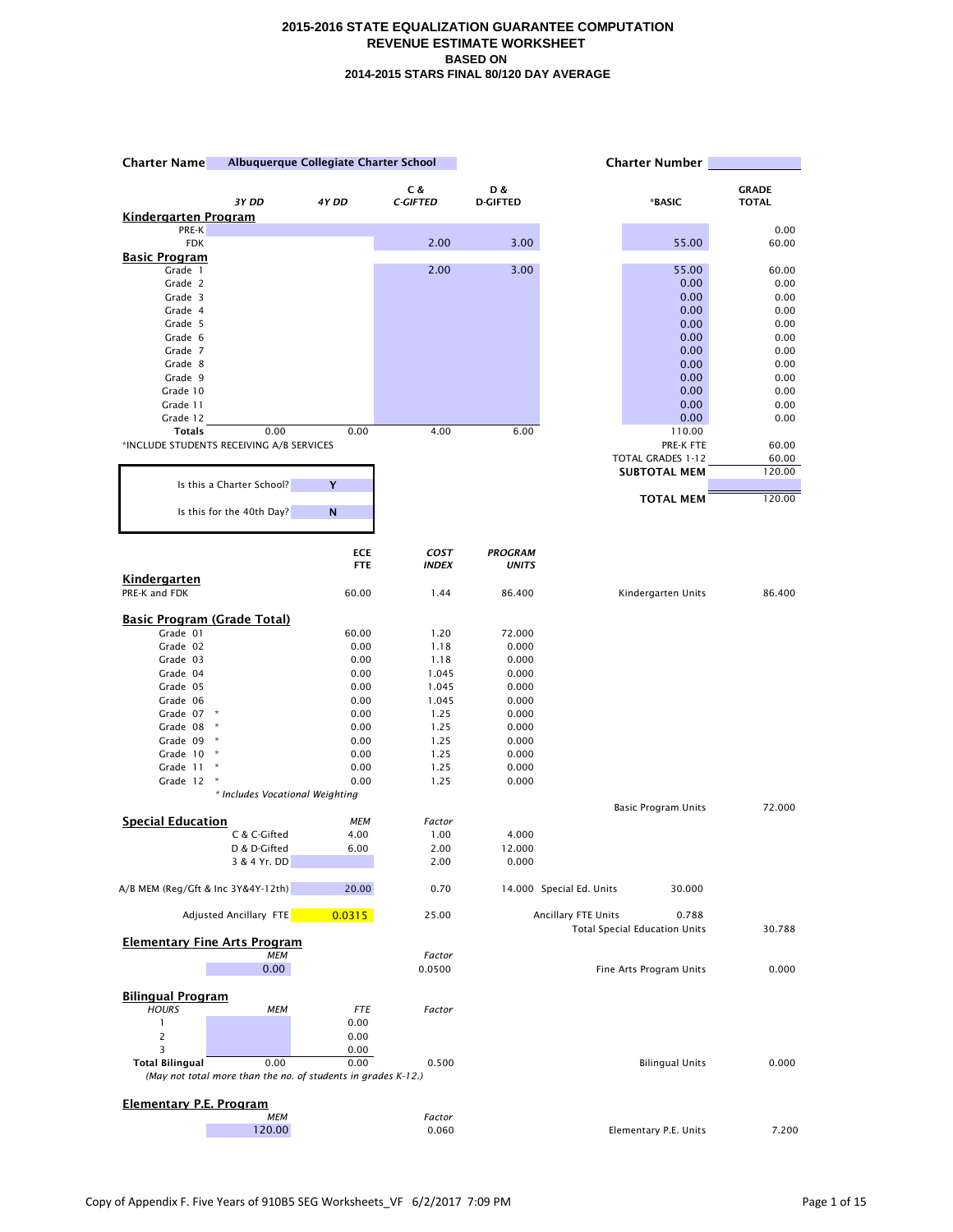| <b>Charter Name</b>                      |                                                               | Albuquerque Collegiate Charter School |                 | <b>Charter Number</b> |                          |                                               |              |
|------------------------------------------|---------------------------------------------------------------|---------------------------------------|-----------------|-----------------------|--------------------------|-----------------------------------------------|--------------|
|                                          |                                                               |                                       | C &             | D &                   |                          |                                               | <b>GRADE</b> |
|                                          | 3Y DD                                                         | 4Y DD                                 | <b>C-GIFTED</b> | <b>D-GIFTED</b>       |                          | *BASIC                                        | <b>TOTAL</b> |
| <u>Kindergarten Program</u>              |                                                               |                                       |                 |                       |                          |                                               |              |
| PRE-K                                    |                                                               |                                       | 2.00            | 3.00                  |                          | 55.00                                         | 0.00         |
| <b>FDK</b><br><b>Basic Program</b>       |                                                               |                                       |                 |                       |                          |                                               | 60.00        |
| Grade 1                                  |                                                               |                                       | 2.00            | 3.00                  |                          | 55.00                                         | 60.00        |
| Grade 2                                  |                                                               |                                       |                 |                       |                          | 0.00                                          | 0.00         |
| Grade 3                                  |                                                               |                                       |                 |                       |                          | 0.00                                          | 0.00         |
| Grade 4<br>Grade 5                       |                                                               |                                       |                 |                       |                          | 0.00<br>0.00                                  | 0.00<br>0.00 |
| Grade 6                                  |                                                               |                                       |                 |                       |                          | 0.00                                          | 0.00         |
| Grade 7                                  |                                                               |                                       |                 |                       |                          | 0.00                                          | 0.00         |
| Grade 8                                  |                                                               |                                       |                 |                       |                          | 0.00                                          | 0.00         |
| Grade 9                                  |                                                               |                                       |                 |                       |                          | 0.00                                          | 0.00         |
| Grade 10<br>Grade 11                     |                                                               |                                       |                 |                       |                          | 0.00<br>0.00                                  | 0.00<br>0.00 |
| Grade 12                                 |                                                               |                                       |                 |                       |                          | 0.00                                          | 0.00         |
| <b>Totals</b>                            | 0.00                                                          | 0.00                                  | 4.00            | 6.00                  |                          | 110.00                                        |              |
| *INCLUDE STUDENTS RECEIVING A/B SERVICES |                                                               |                                       |                 |                       |                          | PRE-K FTE                                     | 60.00        |
|                                          |                                                               |                                       |                 |                       |                          | TOTAL GRADES 1-12                             | 60.00        |
|                                          | Is this a Charter School?                                     | Y                                     |                 |                       |                          | <b>SUBTOTAL MEM</b>                           | 120.00       |
|                                          |                                                               |                                       |                 |                       |                          | <b>TOTAL MEM</b>                              | 120.00       |
|                                          | Is this for the 40th Day?                                     | N                                     |                 |                       |                          |                                               |              |
|                                          |                                                               |                                       |                 |                       |                          |                                               |              |
|                                          |                                                               | <b>ECE</b>                            | COST            | <b>PROGRAM</b>        |                          |                                               |              |
|                                          |                                                               | <b>FTE</b>                            | <b>INDEX</b>    | <b>UNITS</b>          |                          |                                               |              |
| Kindergarten                             |                                                               |                                       |                 |                       |                          |                                               |              |
| PRE-K and FDK                            |                                                               | 60.00                                 | 1.44            | 86.400                |                          | Kindergarten Units                            | 86.400       |
| <b>Basic Program (Grade Total)</b>       |                                                               |                                       |                 |                       |                          |                                               |              |
| Grade 01                                 |                                                               | 60.00                                 | 1.20            | 72.000                |                          |                                               |              |
| Grade 02                                 |                                                               | 0.00                                  | 1.18            | 0.000                 |                          |                                               |              |
| Grade 03<br>Grade 04                     |                                                               | 0.00<br>0.00                          | 1.18<br>1.045   | 0.000<br>0.000        |                          |                                               |              |
| Grade 05                                 |                                                               | 0.00                                  | 1.045           | 0.000                 |                          |                                               |              |
| Grade 06                                 |                                                               | 0.00                                  | 1.045           | 0.000                 |                          |                                               |              |
| Grade 07                                 | $\boldsymbol{\star}$                                          | 0.00                                  | 1.25            | 0.000                 |                          |                                               |              |
| Grade 08 *                               |                                                               | 0.00                                  | 1.25            | 0.000                 |                          |                                               |              |
| Grade 09<br>Grade 10 *                   | $\star$                                                       | 0.00<br>0.00                          | 1.25<br>1.25    | 0.000<br>0.000        |                          |                                               |              |
| Grade 11                                 | Ŕ                                                             | 0.00                                  | 1.25            | 0.000                 |                          |                                               |              |
| Grade 12                                 | $\boldsymbol{\hat{\pi}}$                                      | 0.00                                  | 1.25            | 0.000                 |                          |                                               |              |
|                                          | * Includes Vocational Weighting                               |                                       |                 |                       |                          |                                               |              |
|                                          |                                                               |                                       |                 |                       |                          | <b>Basic Program Units</b>                    | 72.000       |
| <b>Special Education</b>                 | C & C-Gifted                                                  | MEM<br>4.00                           | Factor<br>1.00  | 4.000                 |                          |                                               |              |
|                                          | D & D-Gifted                                                  | 6.00                                  | 2.00            | 12.000                |                          |                                               |              |
|                                          | 3 & 4 Yr. DD                                                  |                                       | 2.00            | 0.000                 |                          |                                               |              |
| A/B MEM (Reg/Gft & Inc 3Y&4Y-12th)       |                                                               | 20.00                                 | 0.70            |                       | 14.000 Special Ed. Units | 30.000                                        |              |
|                                          | <b>Adjusted Ancillary FTE</b>                                 | 0.0315                                | 25.00           |                       | Ancillary FTE Units      | 0.788<br><b>Total Special Education Units</b> | 30.788       |
| <b>Elementary Fine Arts Program</b>      |                                                               |                                       |                 |                       |                          |                                               |              |
|                                          | <b>MEM</b>                                                    |                                       | Factor          |                       |                          |                                               |              |
|                                          | 0.00                                                          |                                       | 0.0500          |                       |                          | Fine Arts Program Units                       | 0.000        |
| <b>Bilingual Program</b>                 |                                                               |                                       |                 |                       |                          |                                               |              |
| <b>HOURS</b>                             | <b>MEM</b>                                                    | <b>FTE</b>                            | Factor          |                       |                          |                                               |              |
| $\mathbf{1}$                             |                                                               | 0.00                                  |                 |                       |                          |                                               |              |
| $\overline{c}$<br>3                      |                                                               | 0.00<br>0.00                          |                 |                       |                          |                                               |              |
| <b>Total Bilingual</b>                   | 0.00                                                          | 0.00                                  | 0.500           |                       |                          | <b>Bilingual Units</b>                        | 0.000        |
|                                          | (May not total more than the no. of students in grades K-12.) |                                       |                 |                       |                          |                                               |              |
|                                          |                                                               |                                       |                 |                       |                          |                                               |              |
| Elementary P.E. Program                  | <b>MEM</b>                                                    |                                       | Factor          |                       |                          |                                               |              |
|                                          | 120.00                                                        |                                       | 0.060           |                       |                          | Elementary P.E. Units                         | 7.200        |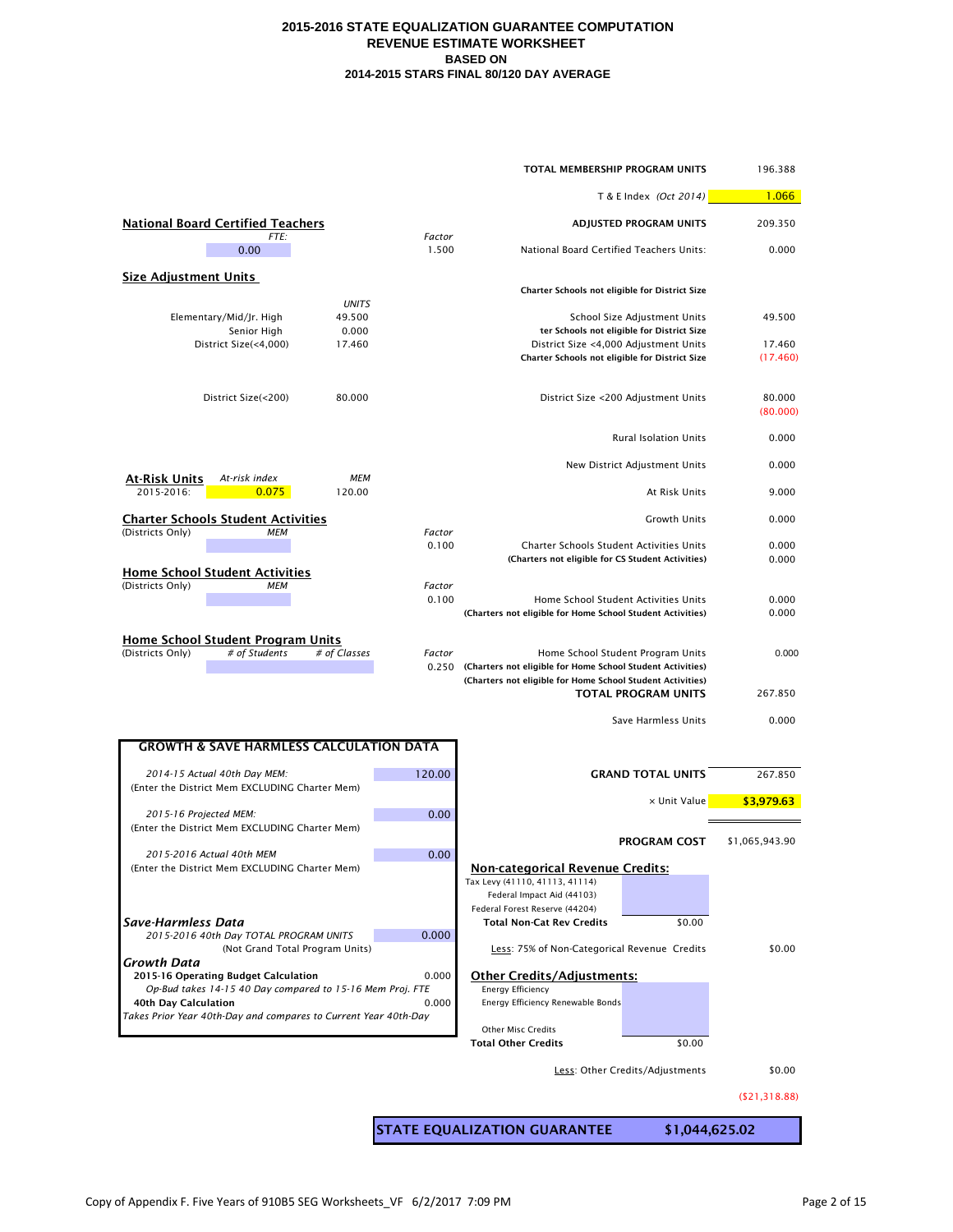| TOTAL MEMBERSHIP PROGRAM UNITS                                                                    |                 |                                                                                                                          |                                                                            |                    |  |
|---------------------------------------------------------------------------------------------------|-----------------|--------------------------------------------------------------------------------------------------------------------------|----------------------------------------------------------------------------|--------------------|--|
|                                                                                                   |                 |                                                                                                                          | T & E Index (Oct 2014)                                                     | 1.066              |  |
| <b>National Board Certified Teachers</b>                                                          |                 |                                                                                                                          | <b>ADJUSTED PROGRAM UNITS</b>                                              | 209.350            |  |
| FTE:<br>0.00                                                                                      | Factor<br>1.500 | National Board Certified Teachers Units:                                                                                 |                                                                            | 0.000              |  |
| <b>Size Adjustment Units</b>                                                                      |                 |                                                                                                                          |                                                                            |                    |  |
| <b>UNITS</b>                                                                                      |                 | Charter Schools not eligible for District Size                                                                           |                                                                            |                    |  |
| 49.500<br>Elementary/Mid/Jr. High<br>0.000<br>Senior High                                         |                 |                                                                                                                          | School Size Adjustment Units<br>ter Schools not eligible for District Size | 49.500             |  |
| District Size(<4,000)<br>17.460                                                                   |                 | District Size <4,000 Adjustment Units<br>Charter Schools not eligible for District Size                                  |                                                                            | 17.460<br>(17.460) |  |
| District Size(<200)<br>80.000                                                                     |                 |                                                                                                                          | District Size <200 Adjustment Units                                        | 80.000<br>(80.000) |  |
|                                                                                                   |                 |                                                                                                                          | <b>Rural Isolation Units</b>                                               | 0.000              |  |
| <u>At-Risk Units</u><br>At-risk index<br><b>MEM</b>                                               |                 |                                                                                                                          | New District Adjustment Units                                              | 0.000              |  |
| 2015-2016:<br>0.075<br>120.00                                                                     |                 |                                                                                                                          | At Risk Units                                                              | 9.000              |  |
| <b>Charter Schools Student Activities</b><br>(Districts Only)<br><b>MEM</b>                       | Factor          |                                                                                                                          | Growth Units                                                               | 0.000              |  |
| <b>Home School Student Activities</b>                                                             | 0.100           | <b>Charter Schools Student Activities Units</b><br>(Charters not eligible for CS Student Activities)                     |                                                                            | 0.000<br>0.000     |  |
| (Districts Only)<br><b>MEM</b>                                                                    | Factor<br>0.100 | (Charters not eligible for Home School Student Activities)                                                               | Home School Student Activities Units                                       | 0.000<br>0.000     |  |
| Home School Student Program Units<br>(Districts Only)<br># of Students<br># of Classes            | Factor<br>0.250 | (Charters not eligible for Home School Student Activities)<br>(Charters not eligible for Home School Student Activities) | Home School Student Program Units                                          | 0.000              |  |
|                                                                                                   |                 |                                                                                                                          | <b>TOTAL PROGRAM UNITS</b>                                                 | 267.850            |  |
|                                                                                                   |                 |                                                                                                                          | Save Harmless Units                                                        | 0.000              |  |
| <b>GROWTH &amp; SAVE HARMLESS CALCULATION DATA</b>                                                |                 |                                                                                                                          |                                                                            |                    |  |
| 2014-15 Actual 40th Day MEM:<br>(Enter the District Mem EXCLUDING Charter Mem)                    | 120.00          |                                                                                                                          | <b>GRAND TOTAL UNITS</b>                                                   | 267.850            |  |
| 2015-16 Projected MEM:                                                                            | 0.00            |                                                                                                                          | x Unit Value                                                               | \$3,979.63         |  |
| (Enter the District Mem EXCLUDING Charter Mem)                                                    |                 |                                                                                                                          | <b>PROGRAM COST</b>                                                        | \$1,065,943.90     |  |
| 2015-2016 Actual 40th MEM<br>(Enter the District Mem EXCLUDING Charter Mem)                       | 0.00            | <b>Non-categorical Revenue Credits:</b><br>Tax Levy (41110, 41113, 41114)                                                |                                                                            |                    |  |
|                                                                                                   |                 | Federal Impact Aid (44103)<br>Federal Forest Reserve (44204)                                                             |                                                                            |                    |  |
| Save-Harmless Data<br>2015-2016 40th Day TOTAL PROGRAM UNITS                                      | 0.000           | <b>Total Non-Cat Rev Credits</b>                                                                                         | \$0.00                                                                     |                    |  |
| (Not Grand Total Program Units)<br>Growth Data                                                    |                 | Less: 75% of Non-Categorical Revenue Credits                                                                             |                                                                            | \$0.00             |  |
| 2015-16 Operating Budget Calculation<br>Op-Bud takes 14-15 40 Day compared to 15-16 Mem Proj. FTE | 0.000           | <b>Other Credits/Adjustments:</b><br><b>Energy Efficiency</b>                                                            |                                                                            |                    |  |
| 40th Day Calculation                                                                              | 0.000           | Energy Efficiency Renewable Bonds                                                                                        |                                                                            |                    |  |
| Takes Prior Year 40th-Day and compares to Current Year 40th-Day                                   |                 | Other Misc Credits                                                                                                       |                                                                            |                    |  |
|                                                                                                   |                 | <b>Total Other Credits</b>                                                                                               | \$0.00                                                                     | \$0.00             |  |
|                                                                                                   |                 |                                                                                                                          | Less: Other Credits/Adjustments                                            |                    |  |
|                                                                                                   |                 |                                                                                                                          |                                                                            | ( \$21, 318.88)    |  |
|                                                                                                   |                 | <b>STATE EQUALIZATION GUARANTEE</b>                                                                                      | \$1,044,625.02                                                             |                    |  |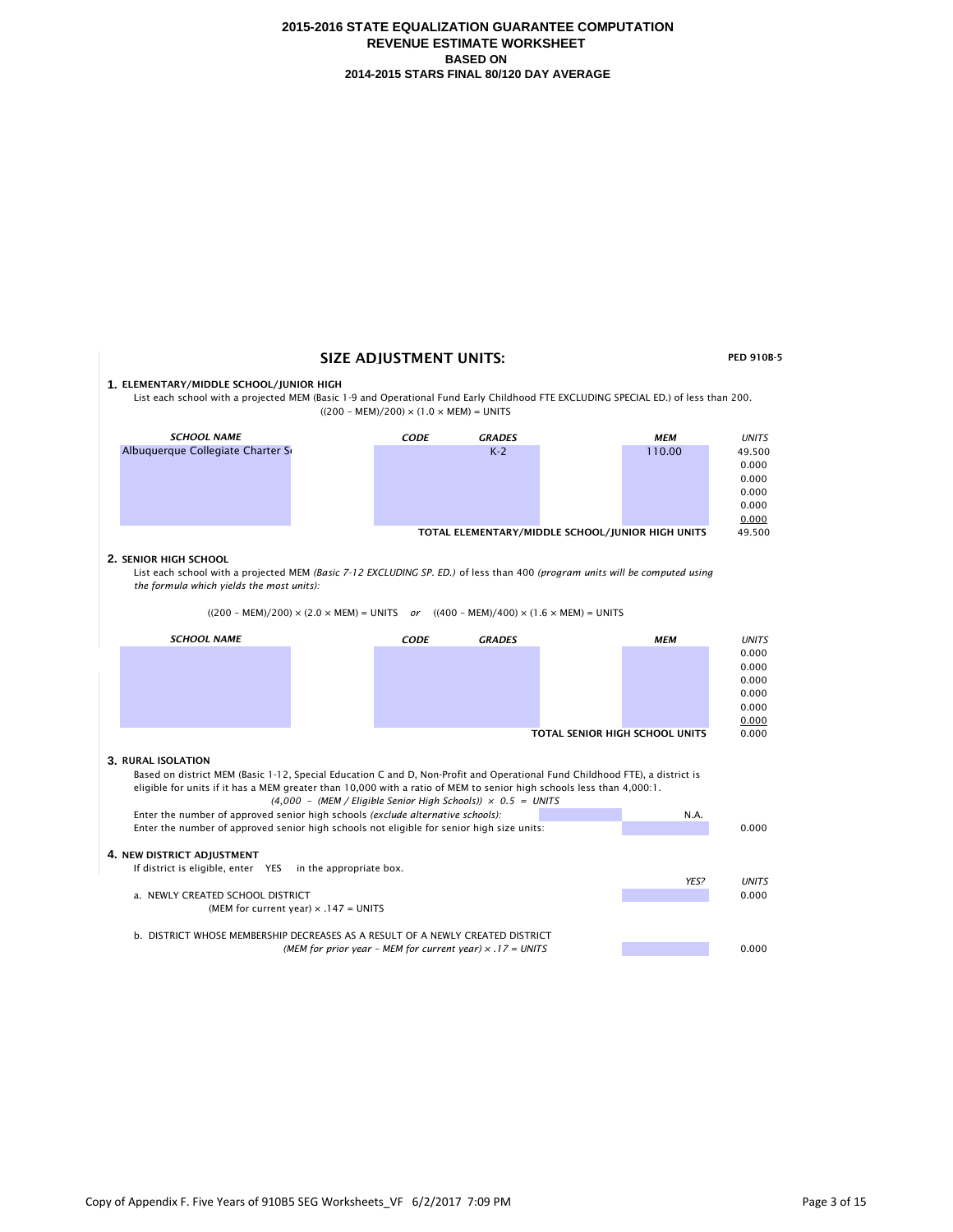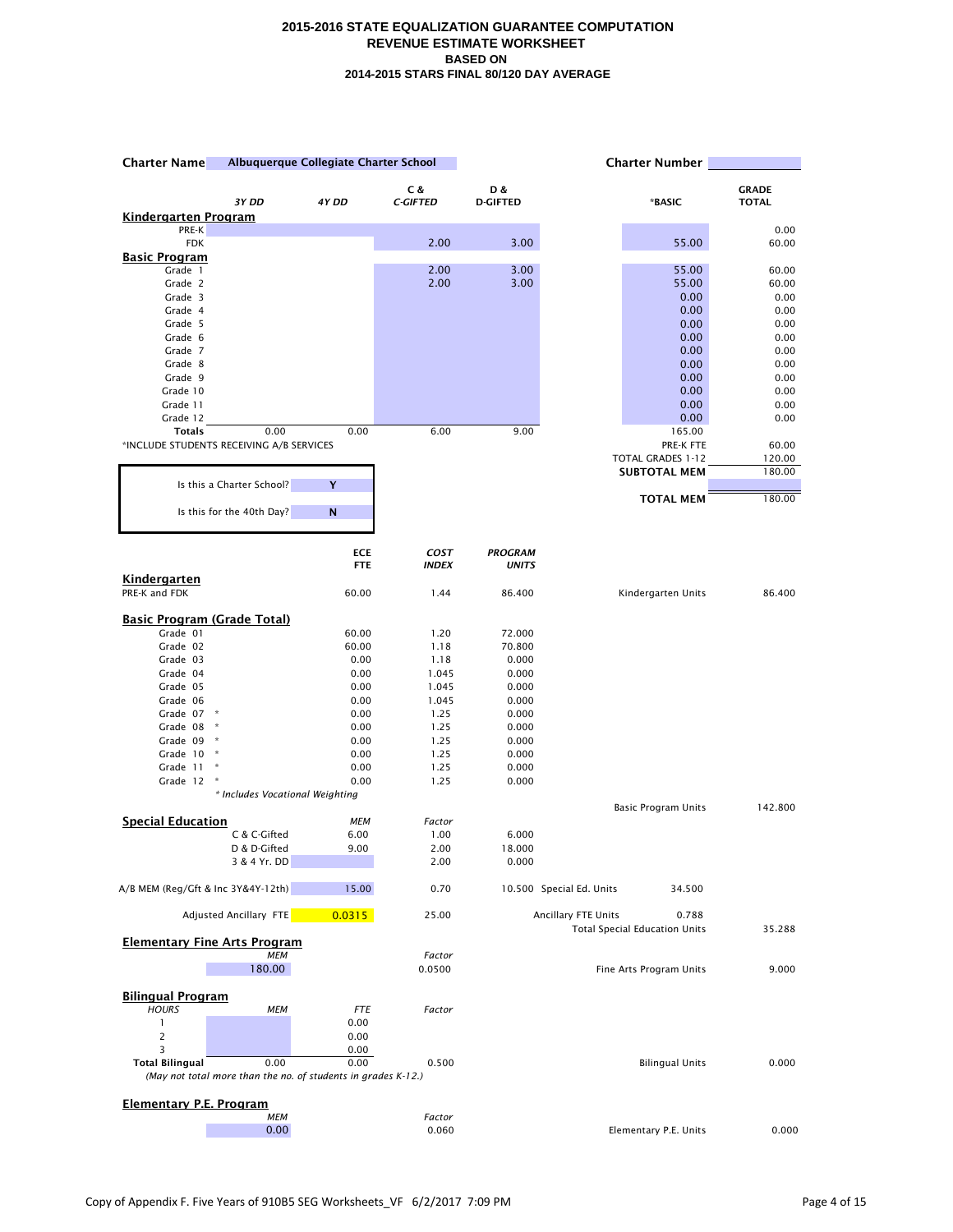| <b>Charter Name</b>                      |                                 | Albuquerque Collegiate Charter School                         |                 | <b>Charter Number</b> |                          |                                      |               |
|------------------------------------------|---------------------------------|---------------------------------------------------------------|-----------------|-----------------------|--------------------------|--------------------------------------|---------------|
|                                          |                                 |                                                               | C &             | D &                   |                          |                                      | <b>GRADE</b>  |
|                                          | 3Y DD                           | 4Y DD                                                         | <b>C-GIFTED</b> | <b>D-GIFTED</b>       |                          | *BASIC                               | <b>TOTAL</b>  |
| Kindergarten Program                     |                                 |                                                               |                 |                       |                          |                                      |               |
| PRE-K<br><b>FDK</b>                      |                                 |                                                               | 2.00            | 3.00                  |                          | 55.00                                | 0.00<br>60.00 |
| Basic Program                            |                                 |                                                               |                 |                       |                          |                                      |               |
| Grade 1                                  |                                 |                                                               | 2.00            | 3.00                  |                          | 55.00                                | 60.00         |
| Grade 2                                  |                                 |                                                               | 2.00            | 3.00                  |                          | 55.00                                | 60.00         |
| Grade 3                                  |                                 |                                                               |                 |                       |                          | 0.00                                 | 0.00          |
| Grade 4<br>Grade 5                       |                                 |                                                               |                 |                       |                          | 0.00<br>0.00                         | 0.00<br>0.00  |
| Grade 6                                  |                                 |                                                               |                 |                       |                          | 0.00                                 | 0.00          |
| Grade 7                                  |                                 |                                                               |                 |                       |                          | 0.00                                 | 0.00          |
| Grade 8                                  |                                 |                                                               |                 |                       |                          | 0.00                                 | 0.00          |
| Grade 9                                  |                                 |                                                               |                 |                       |                          | 0.00                                 | 0.00          |
| Grade 10                                 |                                 |                                                               |                 |                       |                          | 0.00                                 | 0.00          |
| Grade 11<br>Grade 12                     |                                 |                                                               |                 |                       |                          | 0.00<br>0.00                         | 0.00<br>0.00  |
| <b>Totals</b>                            | 0.00                            | 0.00                                                          | 6.00            | 9.00                  |                          | 165.00                               |               |
| *INCLUDE STUDENTS RECEIVING A/B SERVICES |                                 |                                                               |                 |                       |                          | PRE-K FTE                            | 60.00         |
|                                          |                                 |                                                               |                 |                       |                          | TOTAL GRADES 1-12                    | 120.00        |
|                                          |                                 |                                                               |                 |                       |                          | <b>SUBTOTAL MEM</b>                  | 180.00        |
|                                          | Is this a Charter School?       | Y                                                             |                 |                       |                          |                                      |               |
|                                          | Is this for the 40th Day?       | N                                                             |                 |                       |                          | <b>TOTAL MEM</b>                     | 180.00        |
|                                          |                                 |                                                               |                 |                       |                          |                                      |               |
|                                          |                                 | <b>ECE</b>                                                    | COST            | <b>PROGRAM</b>        |                          |                                      |               |
|                                          |                                 | <b>FTE</b>                                                    | <b>INDEX</b>    | <b>UNITS</b>          |                          |                                      |               |
| <b>Kindergarten</b>                      |                                 |                                                               |                 |                       |                          |                                      |               |
| PRE-K and FDK                            |                                 | 60.00                                                         | 1.44            | 86.400                |                          | Kindergarten Units                   | 86.400        |
| <b>Basic Program (Grade Total)</b>       |                                 |                                                               |                 |                       |                          |                                      |               |
| Grade 01                                 |                                 | 60.00                                                         | 1.20            | 72.000                |                          |                                      |               |
| Grade 02                                 |                                 | 60.00                                                         | 1.18            | 70.800                |                          |                                      |               |
| Grade 03                                 |                                 | 0.00                                                          | 1.18            | 0.000                 |                          |                                      |               |
| Grade 04                                 |                                 | 0.00                                                          | 1.045           | 0.000                 |                          |                                      |               |
| Grade 05<br>Grade 06                     |                                 | 0.00<br>0.00                                                  | 1.045<br>1.045  | 0.000<br>0.000        |                          |                                      |               |
| Grade 07<br>$\mathcal{R}$                |                                 | 0.00                                                          | 1.25            | 0.000                 |                          |                                      |               |
| Grade 08                                 | $\ast$                          | 0.00                                                          | 1.25            | 0.000                 |                          |                                      |               |
| Grade 09                                 | ×                               | 0.00                                                          | 1.25            | 0.000                 |                          |                                      |               |
| Grade 10                                 | $\,$ $\,$ $\,$                  | 0.00                                                          | 1.25            | 0.000                 |                          |                                      |               |
| Grade 11                                 | Ŕ                               | 0.00                                                          | 1.25            | 0.000                 |                          |                                      |               |
| Grade 12                                 | Ŕ                               | 0.00                                                          | 1.25            | 0.000                 |                          |                                      |               |
|                                          | * Includes Vocational Weighting |                                                               |                 |                       |                          | Basic Program Units                  | 142.800       |
| <b>Special Education</b>                 |                                 | <b>MEM</b>                                                    | Factor          |                       |                          |                                      |               |
|                                          | C & C-Gifted                    | 6.00                                                          | 1.00            | 6.000                 |                          |                                      |               |
|                                          | D & D-Gifted                    | 9.00                                                          | 2.00            | 18.000                |                          |                                      |               |
|                                          | 3 & 4 Yr. DD                    |                                                               | 2.00            | 0.000                 |                          |                                      |               |
| A/B MEM (Reg/Gft & Inc 3Y&4Y-12th)       |                                 | 15.00                                                         | 0.70            |                       | 10.500 Special Ed. Units | 34.500                               |               |
|                                          | Adjusted Ancillary FTE          | 0.0315                                                        | 25.00           |                       | Ancillary FTE Units      | 0.788                                |               |
| <b>Elementary Fine Arts Program</b>      |                                 |                                                               |                 |                       |                          | <b>Total Special Education Units</b> | 35.288        |
|                                          | <b>MEM</b>                      |                                                               | Factor          |                       |                          |                                      |               |
|                                          | 180.00                          |                                                               | 0.0500          |                       |                          | Fine Arts Program Units              | 9.000         |
|                                          |                                 |                                                               |                 |                       |                          |                                      |               |
| <b>Bilingual Program</b><br><b>HOURS</b> | <b>MEM</b>                      | <b>FTE</b>                                                    | Factor          |                       |                          |                                      |               |
| $\mathbf{1}$                             |                                 | 0.00                                                          |                 |                       |                          |                                      |               |
| $\overline{c}$                           |                                 | 0.00                                                          |                 |                       |                          |                                      |               |
| 3                                        |                                 | 0.00                                                          |                 |                       |                          |                                      |               |
| <b>Total Bilingual</b>                   | 0.00                            | 0.00                                                          | 0.500           |                       |                          | <b>Bilingual Units</b>               | 0.000         |
|                                          |                                 | (May not total more than the no. of students in grades K-12.) |                 |                       |                          |                                      |               |
|                                          |                                 |                                                               |                 |                       |                          |                                      |               |
| <b>Elementary P.E. Program</b>           | <b>MEM</b>                      |                                                               | Factor          |                       |                          |                                      |               |
|                                          | 0.00                            |                                                               | 0.060           |                       |                          | Elementary P.E. Units                | 0.000         |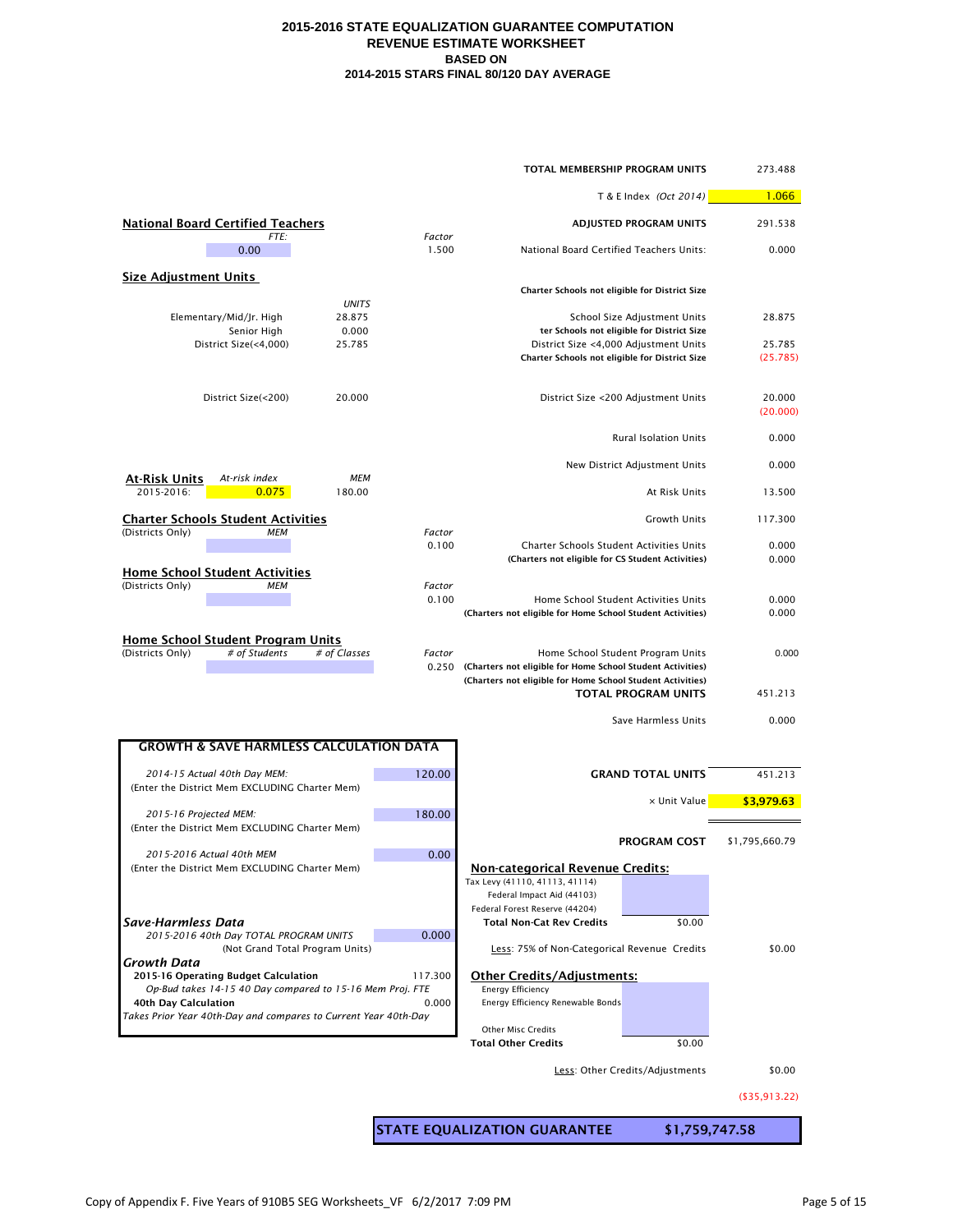| TOTAL MEMBERSHIP PROGRAM UNITS                                                                |         |                                                                                                                          |                                            |                     |
|-----------------------------------------------------------------------------------------------|---------|--------------------------------------------------------------------------------------------------------------------------|--------------------------------------------|---------------------|
|                                                                                               |         |                                                                                                                          | T & E Index (Oct 2014)                     | 1.066               |
| <b>National Board Certified Teachers</b><br>FTE:                                              | Factor  |                                                                                                                          | <b>ADJUSTED PROGRAM UNITS</b>              | 291.538             |
| 0.00                                                                                          | 1.500   | National Board Certified Teachers Units:                                                                                 |                                            | 0.000               |
| <b>Size Adjustment Units</b>                                                                  |         | Charter Schools not eligible for District Size                                                                           |                                            |                     |
| <b>UNITS</b><br>Elementary/Mid/Jr. High<br>28.875                                             |         |                                                                                                                          | School Size Adjustment Units               | 28.875              |
| Senior High<br>0.000                                                                          |         |                                                                                                                          | ter Schools not eligible for District Size |                     |
| District Size(<4,000)<br>25.785                                                               |         | District Size <4,000 Adjustment Units<br>Charter Schools not eligible for District Size                                  |                                            | 25.785<br>(25.785)  |
| District Size(<200)<br>20.000                                                                 |         |                                                                                                                          | District Size <200 Adjustment Units        | 20.000<br>(20.000)  |
|                                                                                               |         |                                                                                                                          | <b>Rural Isolation Units</b>               | 0.000               |
| At-Risk Units<br><b>MEM</b><br>At-risk index                                                  |         |                                                                                                                          | New District Adjustment Units              | 0.000               |
| 0.075<br>2015-2016:<br>180.00                                                                 |         |                                                                                                                          | At Risk Units                              | 13.500              |
| <b>Charter Schools Student Activities</b><br>(Districts Only)<br><b>MEM</b>                   | Factor  |                                                                                                                          | Growth Units                               | 117.300             |
|                                                                                               | 0.100   | <b>Charter Schools Student Activities Units</b><br>(Charters not eligible for CS Student Activities)                     |                                            | 0.000<br>0.000      |
| <b>Home School Student Activities</b><br>(Districts Only)<br><b>MEM</b>                       | Factor  |                                                                                                                          |                                            |                     |
|                                                                                               | 0.100   | Home School Student Activities Units<br>(Charters not eligible for Home School Student Activities)                       |                                            | 0.000<br>0.000      |
| <b>Home School Student Program Units</b><br># of Students<br># of Classes<br>(Districts Only) | Factor  |                                                                                                                          | Home School Student Program Units          | 0.000               |
|                                                                                               | 0.250   | (Charters not eligible for Home School Student Activities)<br>(Charters not eligible for Home School Student Activities) | <b>TOTAL PROGRAM UNITS</b>                 | 451.213             |
|                                                                                               |         |                                                                                                                          | Save Harmless Units                        | 0.000               |
| <b>GROWTH &amp; SAVE HARMLESS CALCULATION DATA</b>                                            |         |                                                                                                                          |                                            |                     |
| 2014-15 Actual 40th Day MEM:                                                                  | 120.00  |                                                                                                                          | <b>GRAND TOTAL UNITS</b>                   | 451.213             |
| (Enter the District Mem EXCLUDING Charter Mem)                                                |         |                                                                                                                          | x Unit Value                               | \$3,979.63          |
| 2015-16 Projected MEM:<br>(Enter the District Mem EXCLUDING Charter Mem)                      | 180.00  |                                                                                                                          |                                            |                     |
| 2015-2016 Actual 40th MEM                                                                     | 0.00    |                                                                                                                          | <b>PROGRAM COST</b>                        | \$1,795,660.79      |
| (Enter the District Mem EXCLUDING Charter Mem)                                                |         | <b>Non-categorical Revenue Credits:</b>                                                                                  |                                            |                     |
|                                                                                               |         | Tax Levy (41110, 41113, 41114)<br>Federal Impact Aid (44103)                                                             |                                            |                     |
| Save-Harmless Data                                                                            |         | Federal Forest Reserve (44204)<br><b>Total Non-Cat Rev Credits</b>                                                       | \$0.00                                     |                     |
| 2015-2016 40th Day TOTAL PROGRAM UNITS<br>(Not Grand Total Program Units)                     | 0.000   | Less: 75% of Non-Categorical Revenue Credits                                                                             |                                            | \$0.00              |
| Growth Data<br>2015-16 Operating Budget Calculation                                           | 117.300 | <b>Other Credits/Adjustments:</b>                                                                                        |                                            |                     |
| Op-Bud takes 14-15 40 Day compared to 15-16 Mem Proj. FTE<br>40th Day Calculation             | 0.000   | <b>Energy Efficiency</b><br>Energy Efficiency Renewable Bonds                                                            |                                            |                     |
| Takes Prior Year 40th-Day and compares to Current Year 40th-Day                               |         | Other Misc Credits                                                                                                       |                                            |                     |
|                                                                                               |         | <b>Total Other Credits</b>                                                                                               | \$0.00                                     |                     |
|                                                                                               |         |                                                                                                                          | Less: Other Credits/Adjustments            | \$0.00              |
|                                                                                               |         |                                                                                                                          |                                            | $($ \$35,913.22 $)$ |
|                                                                                               |         | <b>STATE EQUALIZATION GUARANTEE</b>                                                                                      | \$1,759,747.58                             |                     |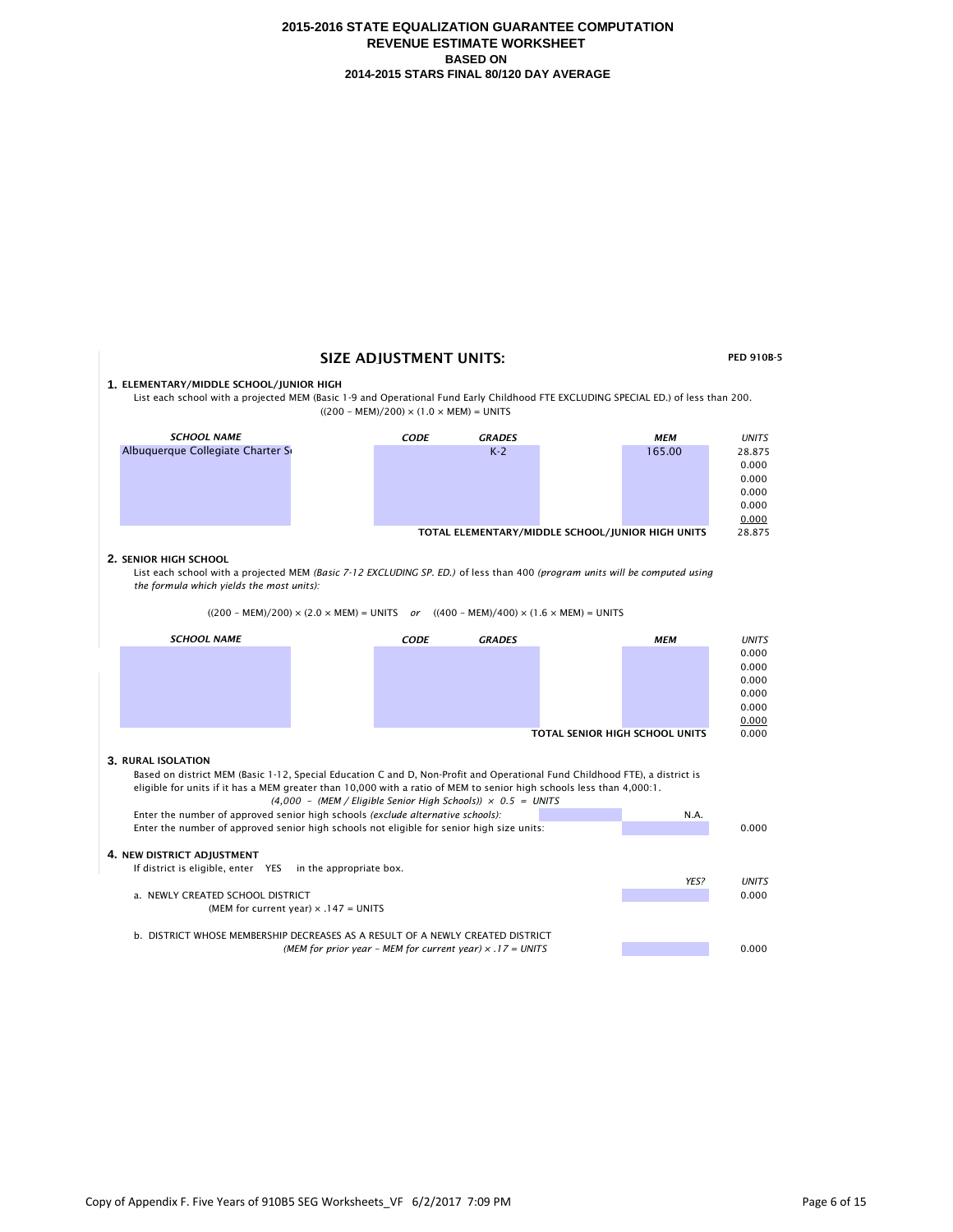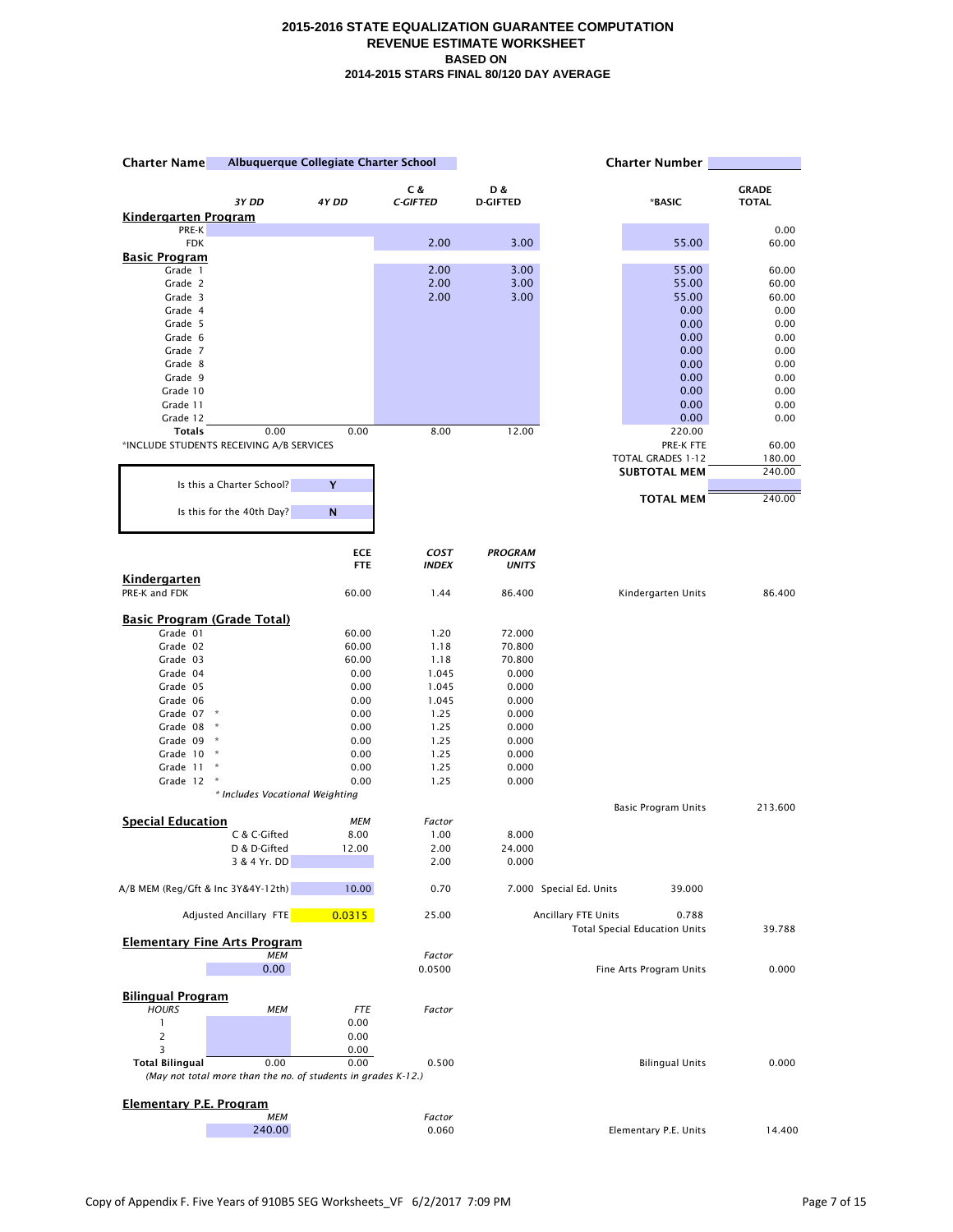| Albuquerque Collegiate Charter School<br><b>Charter Name</b> |                                                                       | <b>Charter Number</b> |                 |                 |                                                                      |               |
|--------------------------------------------------------------|-----------------------------------------------------------------------|-----------------------|-----------------|-----------------|----------------------------------------------------------------------|---------------|
|                                                              |                                                                       |                       | C &             | D &             |                                                                      | <b>GRADE</b>  |
|                                                              | 3Y DD                                                                 | 4Y DD                 | <b>C-GIFTED</b> | <b>D-GIFTED</b> | *BASIC                                                               | <b>TOTAL</b>  |
| <u>Kindergarten Program</u><br>PRE-K                         |                                                                       |                       |                 |                 |                                                                      | 0.00          |
| <b>FDK</b>                                                   |                                                                       |                       | 2.00            | 3.00            | 55.00                                                                | 60.00         |
| <u>Basic Program</u>                                         |                                                                       |                       |                 |                 |                                                                      |               |
| Grade 1                                                      |                                                                       |                       | 2.00            | 3.00            | 55.00                                                                | 60.00         |
| Grade 2                                                      |                                                                       |                       | 2.00            | 3.00            | 55.00                                                                | 60.00         |
| Grade 3<br>Grade 4                                           |                                                                       |                       | 2.00            | 3.00            | 55.00<br>0.00                                                        | 60.00<br>0.00 |
| Grade 5                                                      |                                                                       |                       |                 |                 | 0.00                                                                 | 0.00          |
| Grade 6                                                      |                                                                       |                       |                 |                 | 0.00                                                                 | 0.00          |
| Grade 7                                                      |                                                                       |                       |                 |                 | 0.00                                                                 | 0.00          |
| Grade 8                                                      |                                                                       |                       |                 |                 | 0.00                                                                 | 0.00          |
| Grade 9                                                      |                                                                       |                       |                 |                 | 0.00                                                                 | 0.00          |
| Grade 10<br>Grade 11                                         |                                                                       |                       |                 |                 | 0.00<br>0.00                                                         | 0.00<br>0.00  |
| Grade 12                                                     |                                                                       |                       |                 |                 | 0.00                                                                 | 0.00          |
| <b>Totals</b>                                                | 0.00                                                                  | 0.00                  | 8.00            | 12.00           | 220.00                                                               |               |
| *INCLUDE STUDENTS RECEIVING A/B SERVICES                     |                                                                       |                       |                 |                 | PRE-K FTE                                                            | 60.00         |
|                                                              |                                                                       |                       |                 |                 | TOTAL GRADES 1-12                                                    | 180.00        |
|                                                              |                                                                       |                       |                 |                 | <b>SUBTOTAL MEM</b>                                                  | 240.00        |
|                                                              | Is this a Charter School?                                             | Y                     |                 |                 | <b>TOTAL MEM</b>                                                     | 240.00        |
|                                                              | Is this for the 40th Day?                                             | N                     |                 |                 |                                                                      |               |
|                                                              |                                                                       | <b>ECE</b>            | COST            | <b>PROGRAM</b>  |                                                                      |               |
|                                                              |                                                                       | <b>FTE</b>            | <b>INDEX</b>    | <b>UNITS</b>    |                                                                      |               |
| Kindergarten<br>PRE-K and FDK                                |                                                                       | 60.00                 | 1.44            | 86.400          | Kindergarten Units                                                   | 86.400        |
| <b>Basic Program (Grade Total)</b>                           |                                                                       |                       |                 |                 |                                                                      |               |
| Grade 01                                                     |                                                                       | 60.00                 | 1.20            | 72.000          |                                                                      |               |
| Grade 02                                                     |                                                                       | 60.00                 | 1.18            | 70.800          |                                                                      |               |
| Grade 03                                                     |                                                                       | 60.00                 | 1.18            | 70.800          |                                                                      |               |
| Grade 04                                                     |                                                                       | 0.00                  | 1.045           | 0.000           |                                                                      |               |
| Grade 05<br>Grade 06                                         |                                                                       | 0.00<br>0.00          | 1.045           | 0.000<br>0.000  |                                                                      |               |
| Grade 07                                                     | $\,$ $\,$ $\,$                                                        | 0.00                  | 1.045<br>1.25   | 0.000           |                                                                      |               |
| Grade 08                                                     | $\star$                                                               | 0.00                  | 1.25            | 0.000           |                                                                      |               |
| Grade 09                                                     | $\star$                                                               | 0.00                  | 1.25            | 0.000           |                                                                      |               |
| Grade 10                                                     | $\ast$                                                                | 0.00                  | 1.25            | 0.000           |                                                                      |               |
| Grade 11                                                     | ×                                                                     | 0.00                  | 1.25            | 0.000           |                                                                      |               |
| Grade 12                                                     | $\boldsymbol{\ast}$                                                   | 0.00                  | 1.25            | 0.000           |                                                                      |               |
|                                                              | * Includes Vocational Weighting                                       |                       |                 |                 | <b>Basic Program Units</b>                                           | 213.600       |
| <b>Special Education</b>                                     |                                                                       | <b>MEM</b>            | Factor          |                 |                                                                      |               |
|                                                              | C & C-Gifted                                                          | 8.00                  | 1.00            | 8.000           |                                                                      |               |
|                                                              | D & D-Gifted                                                          | 12.00                 | 2.00            | 24.000          |                                                                      |               |
|                                                              | 3 & 4 Yr. DD                                                          |                       | 2.00            | 0.000           |                                                                      |               |
| A/B MEM (Reg/Gft & Inc 3Y&4Y-12th)                           |                                                                       | 10.00                 | 0.70            |                 | 7.000 Special Ed. Units<br>39.000                                    |               |
|                                                              | <b>Adjusted Ancillary FTE</b>                                         | 0.0315                | 25.00           |                 | Ancillary FTE Units<br>0.788<br><b>Total Special Education Units</b> | 39.788        |
| <b>Elementary Fine Arts Program</b>                          | <b>MEM</b>                                                            |                       | Factor          |                 |                                                                      |               |
|                                                              | 0.00                                                                  |                       | 0.0500          |                 | Fine Arts Program Units                                              | 0.000         |
|                                                              |                                                                       |                       |                 |                 |                                                                      |               |
| <b>Bilingual Program</b><br><b>HOURS</b>                     | <b>MEM</b>                                                            | <b>FTE</b>            | Factor          |                 |                                                                      |               |
| 1                                                            |                                                                       | 0.00                  |                 |                 |                                                                      |               |
|                                                              |                                                                       | 0.00                  |                 |                 |                                                                      |               |
| 3                                                            |                                                                       | 0.00                  |                 |                 |                                                                      |               |
| <b>Total Bilingual</b>                                       | 0.00<br>(May not total more than the no. of students in grades K-12.) | 0.00                  | 0.500           |                 | <b>Bilingual Units</b>                                               | 0.000         |
| <b>Elementary P.E. Program</b>                               |                                                                       |                       |                 |                 |                                                                      |               |
|                                                              | <b>MEM</b>                                                            |                       | Factor          |                 |                                                                      |               |
|                                                              | 240.00                                                                |                       | 0.060           |                 | Elementary P.E. Units                                                | 14.400        |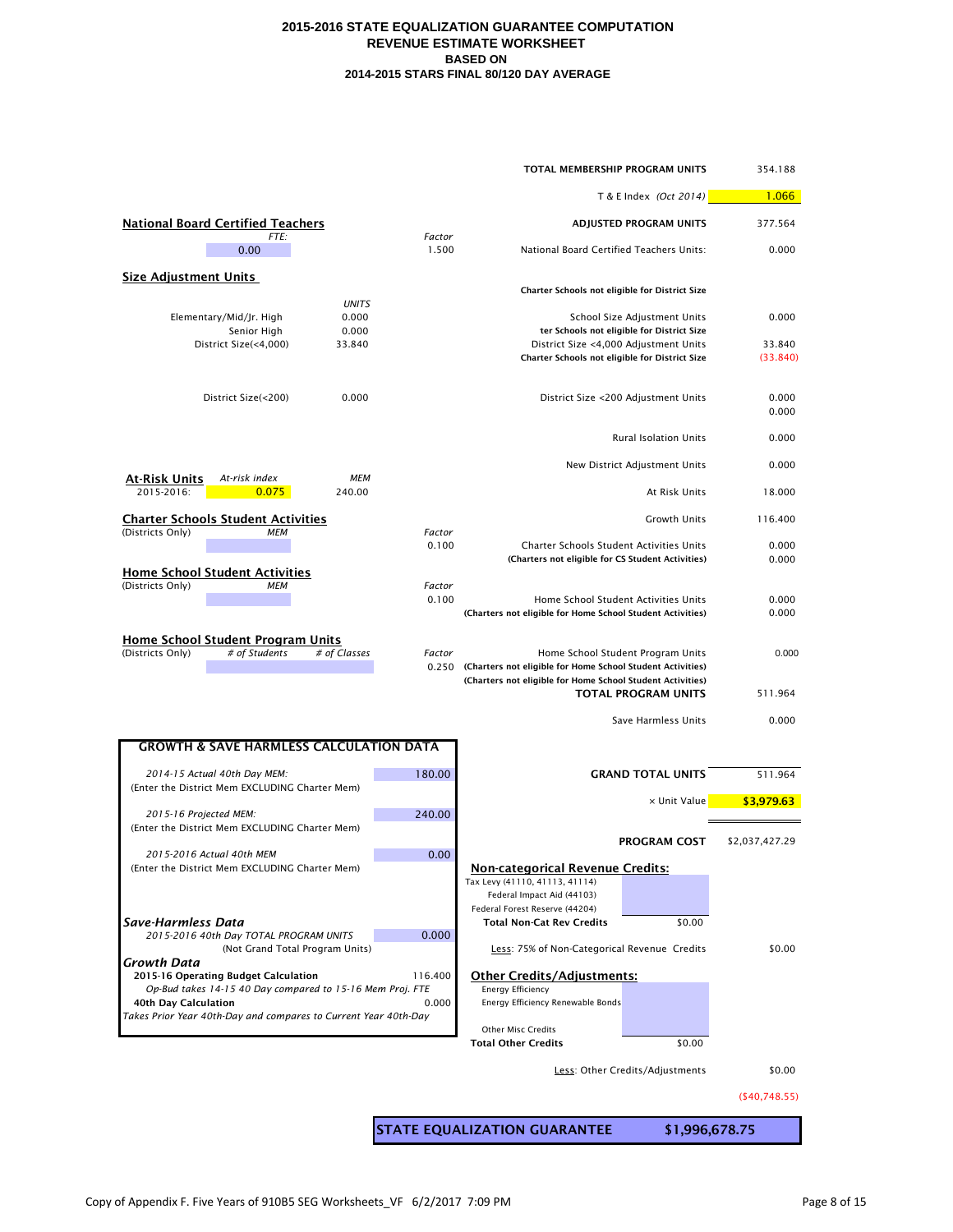| TOTAL MEMBERSHIP PROGRAM UNITS                                                                |                 |                                                                                                                                           |                                                                            |                    |
|-----------------------------------------------------------------------------------------------|-----------------|-------------------------------------------------------------------------------------------------------------------------------------------|----------------------------------------------------------------------------|--------------------|
|                                                                                               |                 |                                                                                                                                           | T & E Index (Oct 2014)                                                     | 1.066              |
| <b>National Board Certified Teachers</b><br>FTE:                                              | Factor          | ADJUSTED PROGRAM UNITS                                                                                                                    | 377.564                                                                    |                    |
| 0.00                                                                                          | 1.500           | National Board Certified Teachers Units:                                                                                                  |                                                                            | 0.000              |
| <b>Size Adjustment Units</b>                                                                  |                 |                                                                                                                                           |                                                                            |                    |
| <b>UNITS</b>                                                                                  |                 | Charter Schools not eligible for District Size                                                                                            |                                                                            |                    |
| Elementary/Mid/Jr. High<br>0.000<br>0.000<br>Senior High                                      |                 |                                                                                                                                           | School Size Adjustment Units<br>ter Schools not eligible for District Size | 0.000              |
| District Size(<4,000)<br>33.840                                                               |                 | Charter Schools not eligible for District Size                                                                                            | District Size <4,000 Adjustment Units                                      | 33.840<br>(33.840) |
| 0.000<br>District Size(<200)                                                                  |                 |                                                                                                                                           | District Size <200 Adjustment Units                                        | 0.000<br>0.000     |
|                                                                                               |                 |                                                                                                                                           | <b>Rural Isolation Units</b>                                               | 0.000              |
| <u>At-Risk Units</u><br><b>MEM</b><br>At-risk index                                           |                 |                                                                                                                                           | New District Adjustment Units                                              | 0.000              |
| 2015-2016:<br>0.075<br>240.00                                                                 |                 |                                                                                                                                           | At Risk Units                                                              | 18.000             |
| <b>Charter Schools Student Activities</b><br>(Districts Only)<br><b>MEM</b>                   | Factor          |                                                                                                                                           | <b>Growth Units</b>                                                        | 116.400            |
|                                                                                               | 0.100           | Charter Schools Student Activities Units<br>(Charters not eligible for CS Student Activities)                                             |                                                                            | 0.000<br>0.000     |
| <b>Home School Student Activities</b><br>(Districts Only)<br><b>MEM</b>                       | Factor<br>0.100 | (Charters not eligible for Home School Student Activities)                                                                                | Home School Student Activities Units                                       | 0.000<br>0.000     |
| <b>Home School Student Program Units</b><br>(Districts Only)<br># of Students<br># of Classes | Factor          | 0.250 (Charters not eligible for Home School Student Activities)<br>(Charters not eligible for Home School Student Activities)            | Home School Student Program Units<br><b>TOTAL PROGRAM UNITS</b>            | 0.000<br>511.964   |
|                                                                                               |                 |                                                                                                                                           | Save Harmless Units                                                        | 0.000              |
| <b>GROWTH &amp; SAVE HARMLESS CALCULATION DATA</b>                                            |                 |                                                                                                                                           |                                                                            |                    |
| 2014-15 Actual 40th Day MEM:                                                                  | 180.00          |                                                                                                                                           | <b>GRAND TOTAL UNITS</b>                                                   | 511.964            |
| (Enter the District Mem EXCLUDING Charter Mem)                                                |                 |                                                                                                                                           | x Unit Value                                                               | \$3,979.63         |
| 2015-16 Projected MEM:<br>(Enter the District Mem EXCLUDING Charter Mem)                      | 240.00          |                                                                                                                                           |                                                                            |                    |
| 2015-2016 Actual 40th MEM                                                                     | 0.00            |                                                                                                                                           | <b>PROGRAM COST</b>                                                        | \$2,037,427.29     |
| (Enter the District Mem EXCLUDING Charter Mem)                                                |                 | <b>Non-categorical Revenue Credits:</b><br>Tax Levy (41110, 41113, 41114)<br>Federal Impact Aid (44103)<br>Federal Forest Reserve (44204) |                                                                            |                    |
| Save-Harmless Data<br>2015-2016 40th Day TOTAL PROGRAM UNITS                                  | 0.000           | <b>Total Non-Cat Rev Credits</b>                                                                                                          | \$0.00                                                                     |                    |
| (Not Grand Total Program Units)<br>Growth Data                                                |                 | Less: 75% of Non-Categorical Revenue Credits                                                                                              |                                                                            | \$0.00             |
| 2015-16 Operating Budget Calculation                                                          | 116.400         | <b>Other Credits/Adjustments:</b><br><b>Energy Efficiency</b>                                                                             |                                                                            |                    |
| Op-Bud takes 14-15 40 Day compared to 15-16 Mem Proj. FTE<br>40th Day Calculation             | 0.000           | Energy Efficiency Renewable Bonds                                                                                                         |                                                                            |                    |
| Takes Prior Year 40th-Day and compares to Current Year 40th-Day                               |                 | <b>Other Misc Credits</b>                                                                                                                 |                                                                            |                    |
|                                                                                               |                 | <b>Total Other Credits</b>                                                                                                                | \$0.00                                                                     |                    |
|                                                                                               |                 |                                                                                                                                           | Less: Other Credits/Adjustments                                            | \$0.00             |
|                                                                                               |                 |                                                                                                                                           |                                                                            | ( \$40,748.55)     |
|                                                                                               |                 | STATE EQUALIZATION GUARANTEE                                                                                                              | \$1,996,678.75                                                             |                    |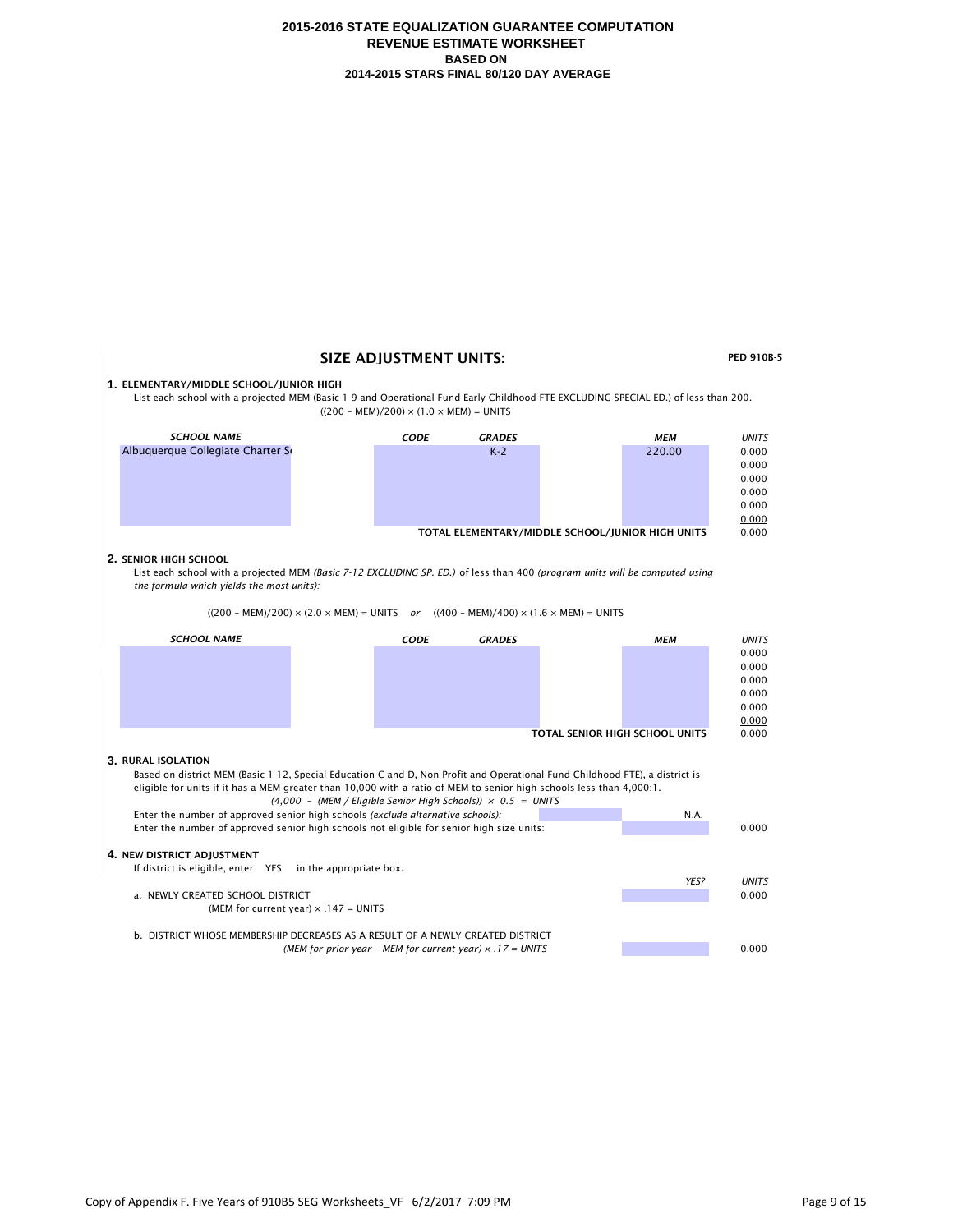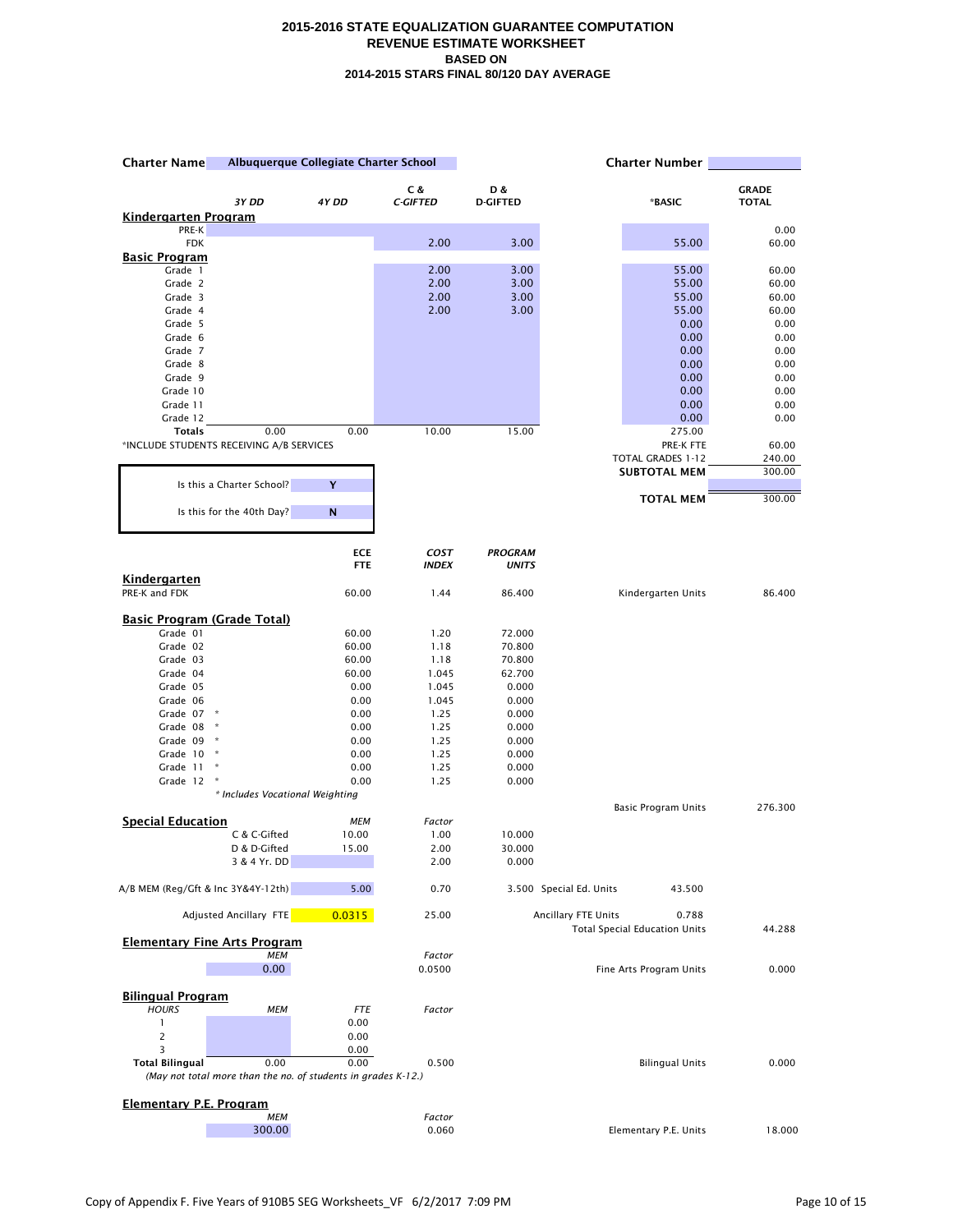| Albuquerque Collegiate Charter School<br><b>Charter Name</b> |                                                               | <b>Charter Number</b> |                 |                 |                                                                      |                |
|--------------------------------------------------------------|---------------------------------------------------------------|-----------------------|-----------------|-----------------|----------------------------------------------------------------------|----------------|
|                                                              |                                                               |                       | C &             | D &             |                                                                      | <b>GRADE</b>   |
|                                                              | 3Y DD                                                         | 4Y DD                 | <b>C-GIFTED</b> | <b>D-GIFTED</b> | *BASIC                                                               | <b>TOTAL</b>   |
| <u>Kindergarten Program</u><br>PRE-K                         |                                                               |                       |                 |                 |                                                                      | 0.00           |
| <b>FDK</b>                                                   |                                                               |                       | 2.00            | 3.00            | 55.00                                                                | 60.00          |
| Basic Program                                                |                                                               |                       |                 |                 |                                                                      |                |
| Grade 1                                                      |                                                               |                       | 2.00            | 3.00            | 55.00                                                                | 60.00          |
| Grade 2                                                      |                                                               |                       | 2.00            | 3.00            | 55.00                                                                | 60.00          |
| Grade 3<br>Grade 4                                           |                                                               |                       | 2.00<br>2.00    | 3.00<br>3.00    | 55.00<br>55.00                                                       | 60.00<br>60.00 |
| Grade 5                                                      |                                                               |                       |                 |                 | 0.00                                                                 | 0.00           |
| Grade 6                                                      |                                                               |                       |                 |                 | 0.00                                                                 | 0.00           |
| Grade 7                                                      |                                                               |                       |                 |                 | 0.00                                                                 | 0.00           |
| Grade 8                                                      |                                                               |                       |                 |                 | 0.00                                                                 | 0.00           |
| Grade 9                                                      |                                                               |                       |                 |                 | 0.00                                                                 | 0.00           |
| Grade 10                                                     |                                                               |                       |                 |                 | 0.00                                                                 | 0.00           |
| Grade 11<br>Grade 12                                         |                                                               |                       |                 |                 | 0.00<br>0.00                                                         | 0.00<br>0.00   |
| <b>Totals</b>                                                | 0.00                                                          | 0.00                  | 10.00           | 15.00           | 275.00                                                               |                |
| *INCLUDE STUDENTS RECEIVING A/B SERVICES                     |                                                               |                       |                 |                 | PRE-K FTE                                                            | 60.00          |
|                                                              |                                                               |                       |                 |                 | TOTAL GRADES 1-12                                                    | 240.00         |
|                                                              |                                                               |                       |                 |                 | <b>SUBTOTAL MEM</b>                                                  | 300.00         |
|                                                              | Is this a Charter School?                                     | Υ                     |                 |                 | <b>TOTAL MEM</b>                                                     |                |
|                                                              | Is this for the 40th Day?                                     | N                     |                 |                 |                                                                      | 300.00         |
|                                                              |                                                               | <b>ECE</b>            | <b>COST</b>     | <b>PROGRAM</b>  |                                                                      |                |
|                                                              |                                                               | <b>FTE</b>            | <b>INDEX</b>    | <b>UNITS</b>    |                                                                      |                |
| Kindergarten<br>PRE-K and FDK                                |                                                               | 60.00                 | 1.44            | 86.400          | Kindergarten Units                                                   | 86.400         |
| <b>Basic Program (Grade Total)</b>                           |                                                               |                       |                 |                 |                                                                      |                |
| Grade 01                                                     |                                                               | 60.00                 | 1.20            | 72.000          |                                                                      |                |
| Grade 02                                                     |                                                               | 60.00                 | 1.18            | 70.800          |                                                                      |                |
| Grade 03                                                     |                                                               | 60.00                 | 1.18            | 70.800          |                                                                      |                |
| Grade 04                                                     |                                                               | 60.00                 | 1.045           | 62.700          |                                                                      |                |
| Grade 05                                                     |                                                               | 0.00                  | 1.045           | 0.000           |                                                                      |                |
| Grade 06                                                     | $\star$                                                       | 0.00                  | 1.045           | 0.000           |                                                                      |                |
| Grade 07<br>Grade 08                                         | ×                                                             | 0.00<br>0.00          | 1.25<br>1.25    | 0.000<br>0.000  |                                                                      |                |
| Grade 09                                                     |                                                               | 0.00                  | 1.25            | 0.000           |                                                                      |                |
| Grade 10                                                     |                                                               | 0.00                  | 1.25            | 0.000           |                                                                      |                |
| Grade 11                                                     | ×                                                             | 0.00                  | 1.25            | 0.000           |                                                                      |                |
| Grade 12                                                     |                                                               | 0.00                  | 1.25            | 0.000           |                                                                      |                |
|                                                              | * Includes Vocational Weighting                               |                       |                 |                 |                                                                      | 276.300        |
| <b>Special Education</b>                                     |                                                               | MEM                   | Factor          |                 | <b>Basic Program Units</b>                                           |                |
|                                                              | C & C-Gifted                                                  | 10.00                 | 1.00            | 10.000          |                                                                      |                |
|                                                              | D & D-Gifted                                                  | 15.00                 | 2.00            | 30.000          |                                                                      |                |
|                                                              | 3 & 4 Yr. DD                                                  |                       | 2.00            | 0.000           |                                                                      |                |
| A/B MEM (Reg/Gft & Inc 3Y&4Y-12th)                           |                                                               | 5.00                  | 0.70            |                 | 3.500 Special Ed. Units<br>43.500                                    |                |
|                                                              | Adjusted Ancillary FTE                                        | 0.0315                | 25.00           |                 | Ancillary FTE Units<br>0.788<br><b>Total Special Education Units</b> | 44.288         |
| <b>Elementary Fine Arts Program</b>                          | <b>MEM</b>                                                    |                       | Factor          |                 |                                                                      |                |
|                                                              | 0.00                                                          |                       | 0.0500          |                 | Fine Arts Program Units                                              | 0.000          |
|                                                              |                                                               |                       |                 |                 |                                                                      |                |
| <b>Bilingual Program</b>                                     |                                                               |                       |                 |                 |                                                                      |                |
| <b>HOURS</b>                                                 | <b>MEM</b>                                                    | <b>FTE</b>            | Factor          |                 |                                                                      |                |
| 1                                                            |                                                               | 0.00                  |                 |                 |                                                                      |                |
| $\overline{2}$<br>3                                          |                                                               | 0.00<br>0.00          |                 |                 |                                                                      |                |
| <b>Total Bilingual</b>                                       | 0.00                                                          | 0.00                  | 0.500           |                 | <b>Bilingual Units</b>                                               | 0.000          |
|                                                              | (May not total more than the no. of students in grades K-12.) |                       |                 |                 |                                                                      |                |
| <b>Elementary P.E. Program</b>                               |                                                               |                       |                 |                 |                                                                      |                |
|                                                              | <b>MEM</b>                                                    |                       | Factor          |                 |                                                                      |                |
|                                                              | 300.00                                                        |                       | 0.060           |                 | Elementary P.E. Units                                                | 18.000         |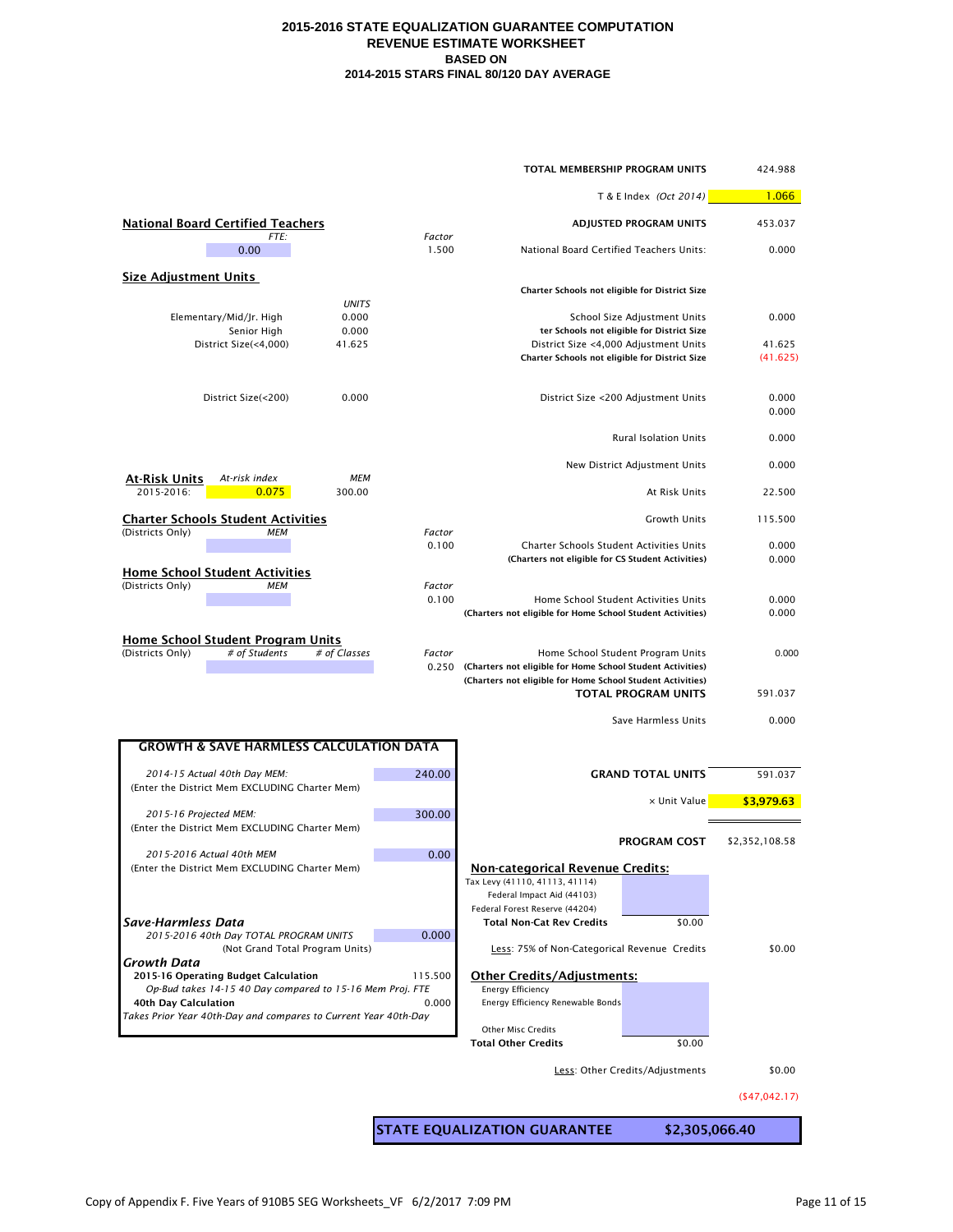| TOTAL MEMBERSHIP PROGRAM UNITS                                                                |                 |                                                                                                                                |                                                                            |                    |
|-----------------------------------------------------------------------------------------------|-----------------|--------------------------------------------------------------------------------------------------------------------------------|----------------------------------------------------------------------------|--------------------|
|                                                                                               |                 |                                                                                                                                | T & E Index (Oct 2014)                                                     | 1.066              |
| <b>National Board Certified Teachers</b><br>FTE:                                              | Factor          | ADJUSTED PROGRAM UNITS                                                                                                         |                                                                            | 453.037            |
| 0.00                                                                                          | 1.500           | National Board Certified Teachers Units:                                                                                       |                                                                            | 0.000              |
| <b>Size Adjustment Units</b>                                                                  |                 |                                                                                                                                |                                                                            |                    |
| <b>UNITS</b>                                                                                  |                 | Charter Schools not eligible for District Size                                                                                 |                                                                            |                    |
| Elementary/Mid/Jr. High<br>0.000<br>0.000<br>Senior High                                      |                 |                                                                                                                                | School Size Adjustment Units<br>ter Schools not eligible for District Size | 0.000              |
| District Size(<4,000)<br>41.625                                                               |                 | District Size <4,000 Adjustment Units<br>Charter Schools not eligible for District Size                                        |                                                                            | 41.625<br>(41.625) |
| 0.000<br>District Size(<200)                                                                  |                 |                                                                                                                                | District Size <200 Adjustment Units                                        | 0.000<br>0.000     |
|                                                                                               |                 |                                                                                                                                | <b>Rural Isolation Units</b>                                               | 0.000              |
| <u>At-Risk Units</u><br><b>MEM</b><br>At-risk index                                           |                 |                                                                                                                                | New District Adjustment Units                                              | 0.000              |
| 2015-2016:<br>0.075<br>300.00                                                                 |                 |                                                                                                                                | At Risk Units                                                              | 22.500             |
| <b>Charter Schools Student Activities</b><br>(Districts Only)<br><b>MEM</b>                   | Factor          |                                                                                                                                | <b>Growth Units</b>                                                        | 115.500            |
|                                                                                               | 0.100           | Charter Schools Student Activities Units<br>(Charters not eligible for CS Student Activities)                                  |                                                                            | 0.000<br>0.000     |
| <b>Home School Student Activities</b><br>(Districts Only)<br><b>MEM</b>                       | Factor<br>0.100 |                                                                                                                                | Home School Student Activities Units                                       | 0.000              |
|                                                                                               |                 | (Charters not eligible for Home School Student Activities)                                                                     |                                                                            | 0.000              |
| <b>Home School Student Program Units</b><br>(Districts Only)<br># of Students<br># of Classes | Factor          | 0.250 (Charters not eligible for Home School Student Activities)<br>(Charters not eligible for Home School Student Activities) | Home School Student Program Units                                          | 0.000              |
|                                                                                               |                 |                                                                                                                                | <b>TOTAL PROGRAM UNITS</b>                                                 | 591.037            |
|                                                                                               |                 |                                                                                                                                | Save Harmless Units                                                        | 0.000              |
| <b>GROWTH &amp; SAVE HARMLESS CALCULATION DATA</b>                                            |                 |                                                                                                                                |                                                                            |                    |
| 2014-15 Actual 40th Day MEM:<br>(Enter the District Mem EXCLUDING Charter Mem)                | 240.00          |                                                                                                                                | <b>GRAND TOTAL UNITS</b>                                                   | 591.037            |
| 2015-16 Projected MEM:                                                                        | 300.00          |                                                                                                                                | x Unit Value                                                               | \$3,979.63         |
| (Enter the District Mem EXCLUDING Charter Mem)                                                |                 |                                                                                                                                | <b>PROGRAM COST</b>                                                        | \$2,352,108.58     |
| 2015-2016 Actual 40th MEM<br>(Enter the District Mem EXCLUDING Charter Mem)                   | 0.00            | <b>Non-categorical Revenue Credits:</b>                                                                                        |                                                                            |                    |
|                                                                                               |                 | Tax Levy (41110, 41113, 41114)<br>Federal Impact Aid (44103)                                                                   |                                                                            |                    |
| Save-Harmless Data                                                                            |                 | Federal Forest Reserve (44204)<br><b>Total Non-Cat Rev Credits</b>                                                             | \$0.00                                                                     |                    |
| 2015-2016 40th Day TOTAL PROGRAM UNITS<br>(Not Grand Total Program Units)                     | 0.000           | Less: 75% of Non-Categorical Revenue Credits                                                                                   |                                                                            | \$0.00             |
| Growth Data<br>2015-16 Operating Budget Calculation                                           | 115.500         | <b>Other Credits/Adjustments:</b>                                                                                              |                                                                            |                    |
| Op-Bud takes 14-15 40 Day compared to 15-16 Mem Proj. FTE<br>40th Day Calculation             | 0.000           | <b>Energy Efficiency</b><br>Energy Efficiency Renewable Bonds                                                                  |                                                                            |                    |
| Takes Prior Year 40th-Day and compares to Current Year 40th-Day                               |                 | <b>Other Misc Credits</b>                                                                                                      |                                                                            |                    |
|                                                                                               |                 | <b>Total Other Credits</b>                                                                                                     | \$0.00                                                                     |                    |
|                                                                                               |                 |                                                                                                                                | Less: Other Credits/Adjustments                                            | \$0.00             |
|                                                                                               |                 |                                                                                                                                |                                                                            | (547, 042.17)      |
|                                                                                               |                 | STATE EQUALIZATION GUARANTEE                                                                                                   |                                                                            | \$2,305,066.40     |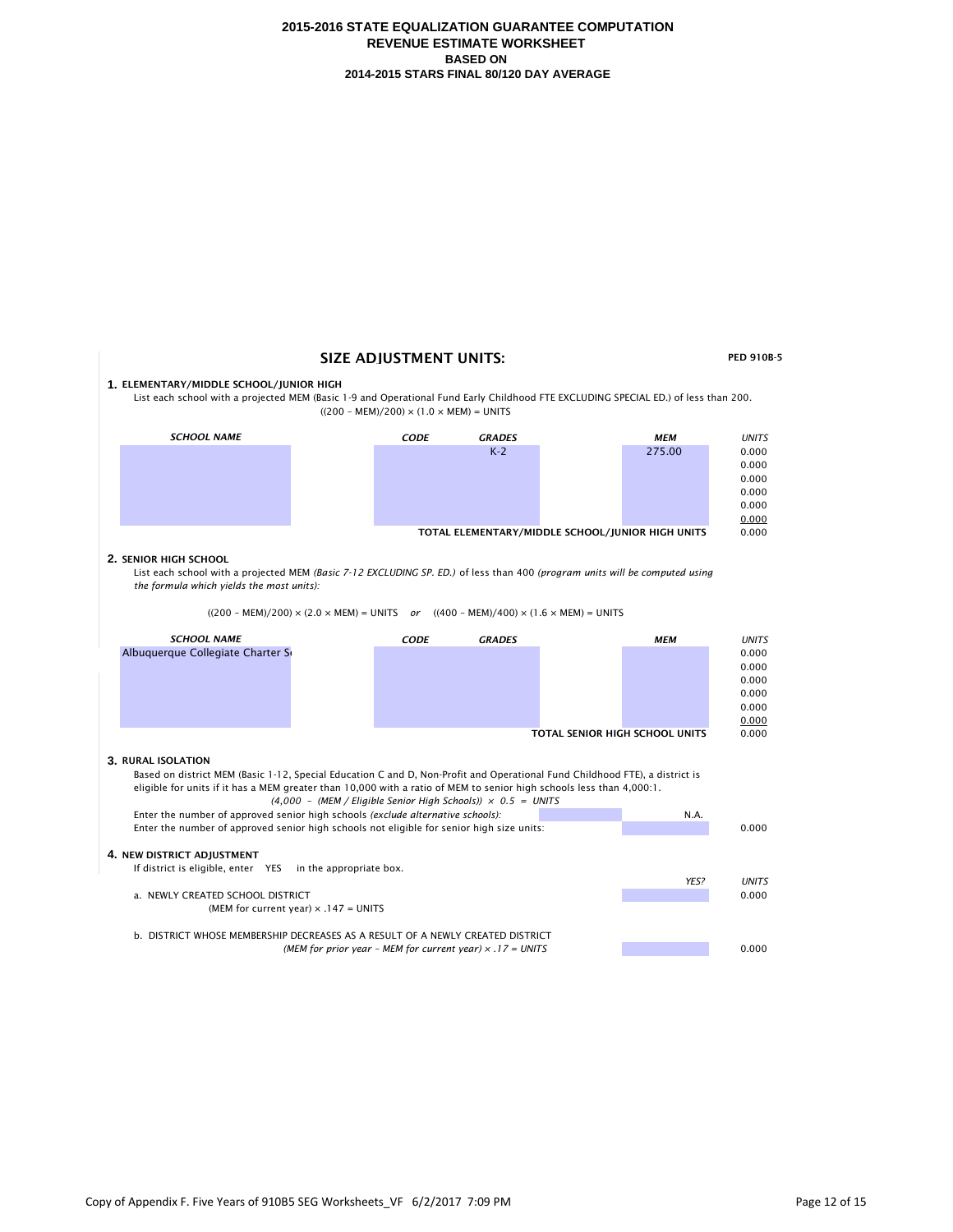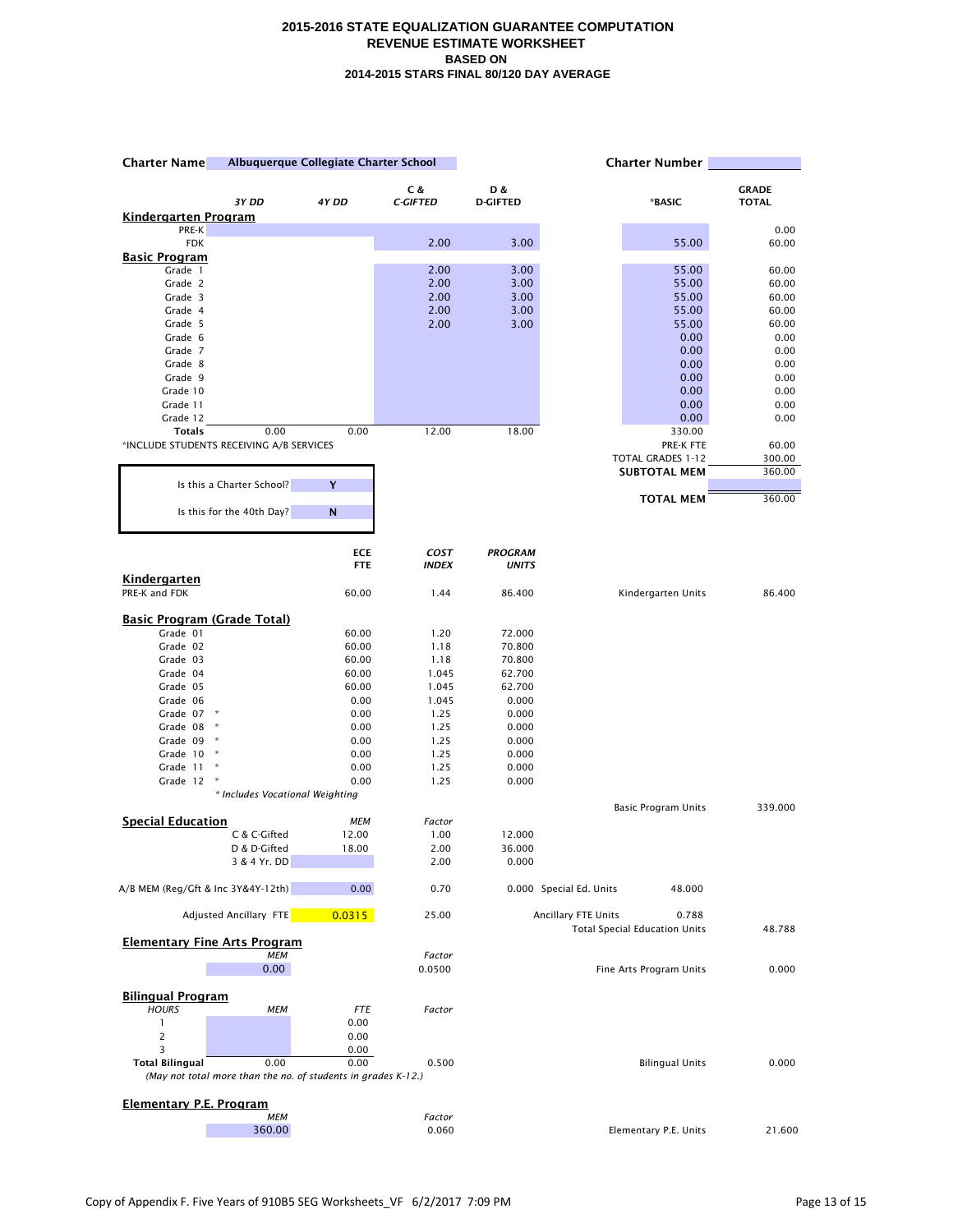| Albuquerque Collegiate Charter School<br><b>Charter Name</b> |                                                                       | <b>Charter Number</b> |                 |                 |                                                                      |                |
|--------------------------------------------------------------|-----------------------------------------------------------------------|-----------------------|-----------------|-----------------|----------------------------------------------------------------------|----------------|
|                                                              |                                                                       |                       | C &             | D &             |                                                                      | <b>GRADE</b>   |
|                                                              | 3Y DD                                                                 | 4Y DD                 | <b>C-GIFTED</b> | <b>D-GIFTED</b> | *BASIC                                                               | <b>TOTAL</b>   |
| <u>Kindergarten Program</u><br>PRE-K                         |                                                                       |                       |                 |                 |                                                                      | 0.00           |
| <b>FDK</b>                                                   |                                                                       |                       | 2.00            | 3.00            | 55.00                                                                | 60.00          |
| <u>Basic Program</u>                                         |                                                                       |                       |                 |                 |                                                                      |                |
| Grade 1                                                      |                                                                       |                       | 2.00            | 3.00            | 55.00                                                                | 60.00          |
| Grade 2                                                      |                                                                       |                       | 2.00            | 3.00            | 55.00                                                                | 60.00          |
| Grade 3<br>Grade 4                                           |                                                                       |                       | 2.00<br>2.00    | 3.00            | 55.00                                                                | 60.00<br>60.00 |
| Grade 5                                                      |                                                                       |                       | 2.00            | 3.00<br>3.00    | 55.00<br>55.00                                                       | 60.00          |
| Grade 6                                                      |                                                                       |                       |                 |                 | 0.00                                                                 | 0.00           |
| Grade 7                                                      |                                                                       |                       |                 |                 | 0.00                                                                 | 0.00           |
| Grade 8                                                      |                                                                       |                       |                 |                 | 0.00                                                                 | 0.00           |
| Grade 9                                                      |                                                                       |                       |                 |                 | 0.00                                                                 | 0.00           |
| Grade 10                                                     |                                                                       |                       |                 |                 | 0.00                                                                 | 0.00<br>0.00   |
| Grade 11<br>Grade 12                                         |                                                                       |                       |                 |                 | 0.00<br>0.00                                                         | 0.00           |
| <b>Totals</b>                                                | 0.00                                                                  | 0.00                  | 12.00           | 18.00           | 330.00                                                               |                |
| *INCLUDE STUDENTS RECEIVING A/B SERVICES                     |                                                                       |                       |                 |                 | PRE-K FTE                                                            | 60.00          |
|                                                              |                                                                       |                       |                 |                 | TOTAL GRADES 1-12                                                    | 300.00         |
|                                                              |                                                                       |                       |                 |                 | <b>SUBTOTAL MEM</b>                                                  | 360.00         |
|                                                              | Is this a Charter School?                                             | Y                     |                 |                 |                                                                      |                |
|                                                              | Is this for the 40th Day?                                             | N                     |                 |                 | <b>TOTAL MEM</b>                                                     | 360.00         |
|                                                              |                                                                       | <b>ECE</b>            | COST            | <b>PROGRAM</b>  |                                                                      |                |
|                                                              |                                                                       | <b>FTE</b>            | <b>INDEX</b>    | <b>UNITS</b>    |                                                                      |                |
| Kindergarten<br>PRE-K and FDK                                |                                                                       | 60.00                 | 1.44            | 86.400          | Kindergarten Units                                                   | 86.400         |
| <b>Basic Program (Grade Total)</b>                           |                                                                       |                       |                 |                 |                                                                      |                |
| Grade 01                                                     |                                                                       | 60.00                 | 1.20            | 72.000          |                                                                      |                |
| Grade 02                                                     |                                                                       | 60.00                 | 1.18            | 70.800          |                                                                      |                |
| Grade 03                                                     |                                                                       | 60.00                 | 1.18            | 70.800          |                                                                      |                |
| Grade 04                                                     |                                                                       | 60.00                 | 1.045           | 62.700          |                                                                      |                |
| Grade 05                                                     |                                                                       | 60.00                 | 1.045           | 62.700          |                                                                      |                |
| Grade 06<br>Grade 07                                         | $\,$ $\,$ $\,$                                                        | 0.00<br>0.00          | 1.045<br>1.25   | 0.000<br>0.000  |                                                                      |                |
| Grade 08                                                     | $\star$                                                               | 0.00                  | 1.25            | 0.000           |                                                                      |                |
| Grade 09                                                     | $\star$                                                               | 0.00                  | 1.25            | 0.000           |                                                                      |                |
| Grade 10                                                     | $\ast$                                                                | 0.00                  | 1.25            | 0.000           |                                                                      |                |
| Grade 11                                                     | ×                                                                     | 0.00                  | 1.25            | 0.000           |                                                                      |                |
| Grade 12                                                     | $\boldsymbol{\ast}$                                                   | 0.00                  | 1.25            | 0.000           |                                                                      |                |
|                                                              | * Includes Vocational Weighting                                       |                       |                 |                 | <b>Basic Program Units</b>                                           | 339.000        |
| <b>Special Education</b>                                     |                                                                       | MEM                   | Factor          |                 |                                                                      |                |
|                                                              | C & C-Gifted                                                          | 12.00                 | 1.00            | 12.000          |                                                                      |                |
|                                                              | D & D-Gifted                                                          | 18.00                 | 2.00            | 36.000          |                                                                      |                |
|                                                              | 3 & 4 Yr. DD                                                          |                       | 2.00            | 0.000           |                                                                      |                |
| A/B MEM (Reg/Gft & Inc 3Y&4Y-12th)                           |                                                                       | 0.00                  | 0.70            |                 | 0.000 Special Ed. Units<br>48.000                                    |                |
|                                                              | Adjusted Ancillary FTE                                                | 0.0315                | 25.00           |                 | Ancillary FTE Units<br>0.788<br><b>Total Special Education Units</b> | 48.788         |
| <b>Elementary Fine Arts Program</b>                          | <b>MEM</b>                                                            |                       | Factor          |                 |                                                                      |                |
|                                                              | 0.00                                                                  |                       | 0.0500          |                 | Fine Arts Program Units                                              | 0.000          |
| <b>Bilingual Program</b>                                     |                                                                       |                       |                 |                 |                                                                      |                |
| <b>HOURS</b>                                                 | <b>MEM</b>                                                            | <b>FTE</b>            | Factor          |                 |                                                                      |                |
| 1                                                            |                                                                       | 0.00                  |                 |                 |                                                                      |                |
|                                                              |                                                                       | 0.00                  |                 |                 |                                                                      |                |
| 3                                                            |                                                                       | 0.00<br>0.00          |                 |                 |                                                                      |                |
| <b>Total Bilingual</b>                                       | 0.00<br>(May not total more than the no. of students in grades K-12.) |                       | 0.500           |                 | <b>Bilingual Units</b>                                               | 0.000          |
| <b>Elementary P.E. Program</b>                               |                                                                       |                       |                 |                 |                                                                      |                |
|                                                              | <b>MEM</b>                                                            |                       | Factor          |                 |                                                                      |                |
|                                                              | 360.00                                                                |                       | 0.060           |                 | Elementary P.E. Units                                                | 21.600         |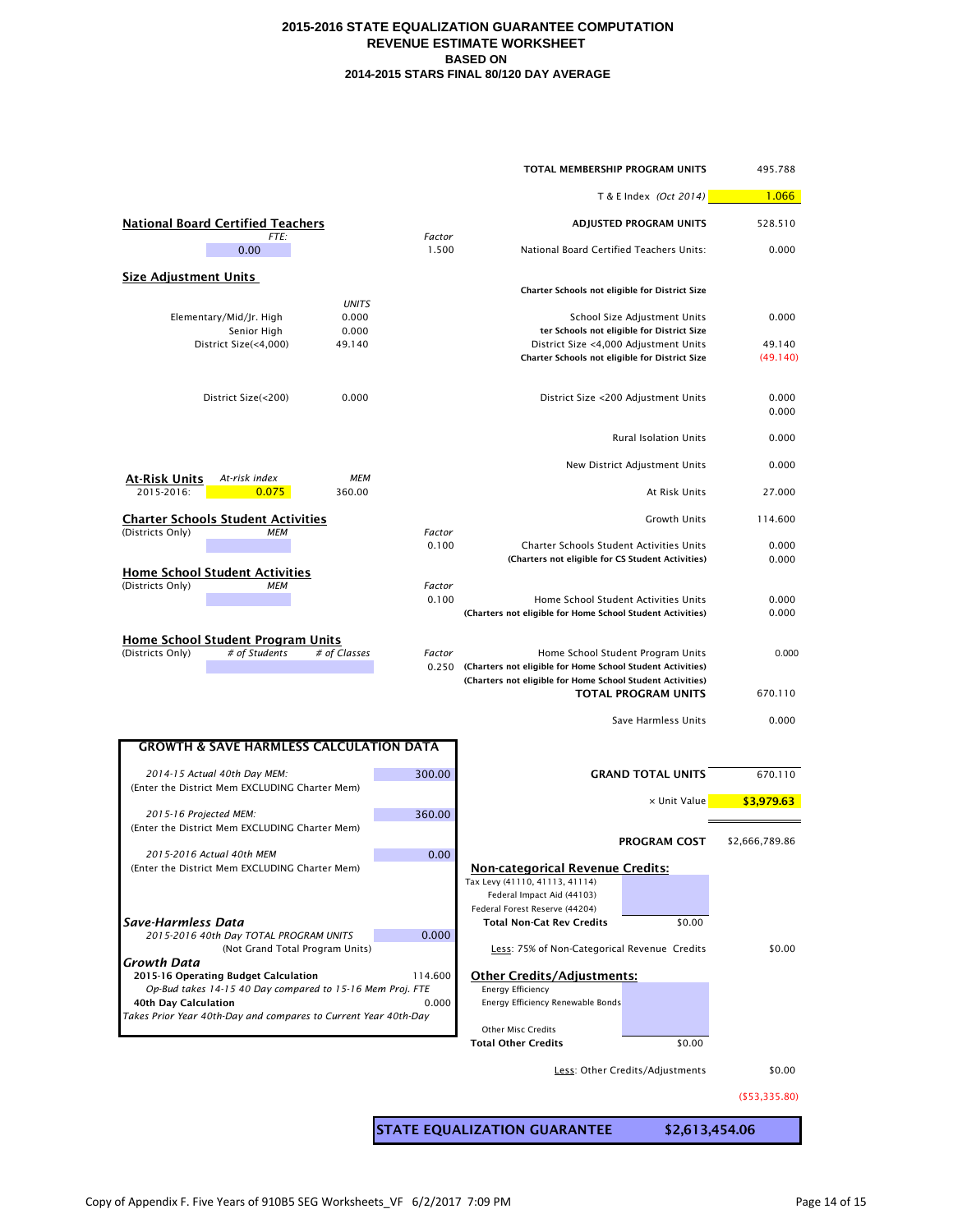| TOTAL MEMBERSHIP PROGRAM UNITS                                                    |                 |                                                                                                                          |                                                                            |                    |  |  |
|-----------------------------------------------------------------------------------|-----------------|--------------------------------------------------------------------------------------------------------------------------|----------------------------------------------------------------------------|--------------------|--|--|
|                                                                                   |                 |                                                                                                                          | T & E Index (Oct 2014)                                                     | 1.066              |  |  |
| <b>National Board Certified Teachers</b>                                          |                 |                                                                                                                          | <b>ADJUSTED PROGRAM UNITS</b>                                              | 528.510            |  |  |
| FTE:<br>0.00                                                                      | Factor<br>1.500 | National Board Certified Teachers Units:                                                                                 |                                                                            | 0.000              |  |  |
| <b>Size Adjustment Units</b>                                                      |                 |                                                                                                                          |                                                                            |                    |  |  |
| <b>UNITS</b>                                                                      |                 | Charter Schools not eligible for District Size                                                                           |                                                                            |                    |  |  |
| 0.000<br>Elementary/Mid/Jr. High<br>0.000<br>Senior High                          |                 |                                                                                                                          | School Size Adjustment Units<br>ter Schools not eligible for District Size | 0.000              |  |  |
| District Size(<4,000)<br>49.140                                                   |                 | District Size <4,000 Adjustment Units<br>Charter Schools not eligible for District Size                                  |                                                                            | 49.140<br>(49.140) |  |  |
| 0.000<br>District Size(<200)                                                      |                 |                                                                                                                          | District Size <200 Adjustment Units                                        | 0.000<br>0.000     |  |  |
|                                                                                   |                 |                                                                                                                          | <b>Rural Isolation Units</b>                                               | 0.000              |  |  |
| <u>At-Risk Units</u><br><b>MEM</b><br>At-risk index                               |                 |                                                                                                                          | New District Adjustment Units                                              | 0.000              |  |  |
| 2015-2016:<br>0.075<br>360.00                                                     |                 |                                                                                                                          | At Risk Units                                                              | 27.000             |  |  |
| <b>Charter Schools Student Activities</b><br>(Districts Only)<br><b>MEM</b>       | Factor          |                                                                                                                          | Growth Units                                                               | 114.600            |  |  |
|                                                                                   | 0.100           | <b>Charter Schools Student Activities Units</b><br>(Charters not eligible for CS Student Activities)                     |                                                                            | 0.000<br>0.000     |  |  |
| <b>Home School Student Activities</b><br>(Districts Only)<br><b>MEM</b>           | Factor          |                                                                                                                          |                                                                            |                    |  |  |
|                                                                                   | 0.100           | (Charters not eligible for Home School Student Activities)                                                               | Home School Student Activities Units                                       | 0.000<br>0.000     |  |  |
| Home School Student Program Units                                                 |                 |                                                                                                                          |                                                                            |                    |  |  |
| (Districts Only)<br># of Students<br># of Classes                                 | Factor<br>0.250 | (Charters not eligible for Home School Student Activities)<br>(Charters not eligible for Home School Student Activities) | Home School Student Program Units<br><b>TOTAL PROGRAM UNITS</b>            | 0.000<br>670.110   |  |  |
|                                                                                   |                 |                                                                                                                          | Save Harmless Units                                                        | 0.000              |  |  |
| <b>GROWTH &amp; SAVE HARMLESS CALCULATION DATA</b>                                |                 |                                                                                                                          |                                                                            |                    |  |  |
|                                                                                   |                 |                                                                                                                          |                                                                            |                    |  |  |
| 2014-15 Actual 40th Day MEM:<br>(Enter the District Mem EXCLUDING Charter Mem)    | 300.00          |                                                                                                                          | <b>GRAND TOTAL UNITS</b>                                                   | 670.110            |  |  |
| 2015-16 Projected MEM:                                                            | 360.00          | x Unit Value                                                                                                             |                                                                            | \$3,979.63         |  |  |
| (Enter the District Mem EXCLUDING Charter Mem)                                    |                 |                                                                                                                          | <b>PROGRAM COST</b>                                                        | \$2,666,789.86     |  |  |
| 2015-2016 Actual 40th MEM<br>(Enter the District Mem EXCLUDING Charter Mem)       | 0.00            | <b>Non-categorical Revenue Credits:</b>                                                                                  |                                                                            |                    |  |  |
|                                                                                   |                 | Tax Levy (41110, 41113, 41114)<br>Federal Impact Aid (44103)                                                             |                                                                            |                    |  |  |
| Save-Harmless Data                                                                |                 | Federal Forest Reserve (44204)<br><b>Total Non-Cat Rev Credits</b>                                                       | \$0.00                                                                     |                    |  |  |
| 2015-2016 40th Day TOTAL PROGRAM UNITS<br>(Not Grand Total Program Units)         | 0.000           | Less: 75% of Non-Categorical Revenue Credits                                                                             |                                                                            | \$0.00             |  |  |
| Growth Data<br>2015-16 Operating Budget Calculation                               | 114.600         | <b>Other Credits/Adjustments:</b>                                                                                        |                                                                            |                    |  |  |
| Op-Bud takes 14-15 40 Day compared to 15-16 Mem Proj. FTE<br>40th Day Calculation | 0.000           | Energy Efficiency<br>Energy Efficiency Renewable Bonds                                                                   |                                                                            |                    |  |  |
| Takes Prior Year 40th-Day and compares to Current Year 40th-Day                   |                 | Other Misc Credits                                                                                                       |                                                                            |                    |  |  |
|                                                                                   |                 | <b>Total Other Credits</b>                                                                                               | \$0.00                                                                     |                    |  |  |
|                                                                                   |                 |                                                                                                                          | Less: Other Credits/Adjustments                                            | \$0.00             |  |  |
|                                                                                   |                 |                                                                                                                          |                                                                            | ( \$53,335.80)     |  |  |
| <b>STATE EQUALIZATION GUARANTEE</b><br>\$2,613,454.06                             |                 |                                                                                                                          |                                                                            |                    |  |  |